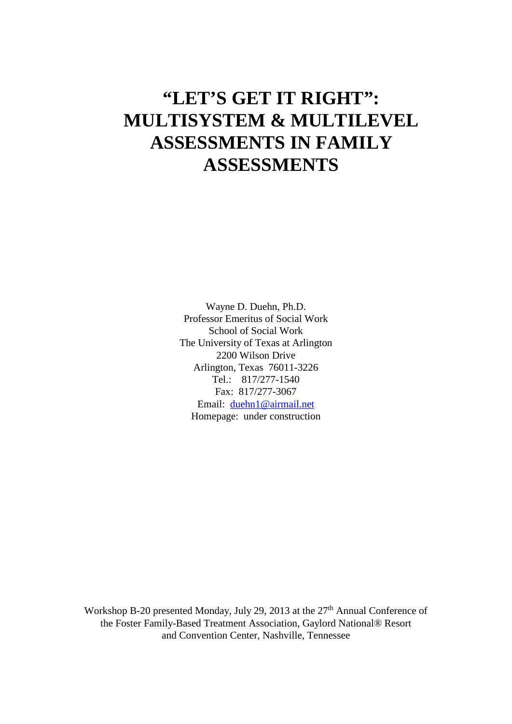Wayne D. Duehn, Ph.D. Professor Emeritus of Social Work School of Social Work The University of Texas at Arlington 2200 Wilson Drive Arlington, Texas 76011-3226 Tel.: 817/277-1540 Fax: 817/277-3067 Email: [duehn1@airmail.net](mailto:duehn1@airmail.net) Homepage: under construction

Workshop B-20 presented Monday, July 29, 2013 at the 27<sup>th</sup> Annual Conference of the Foster Family-Based Treatment Association, Gaylord National® Resort and Convention Center, Nashville, Tennessee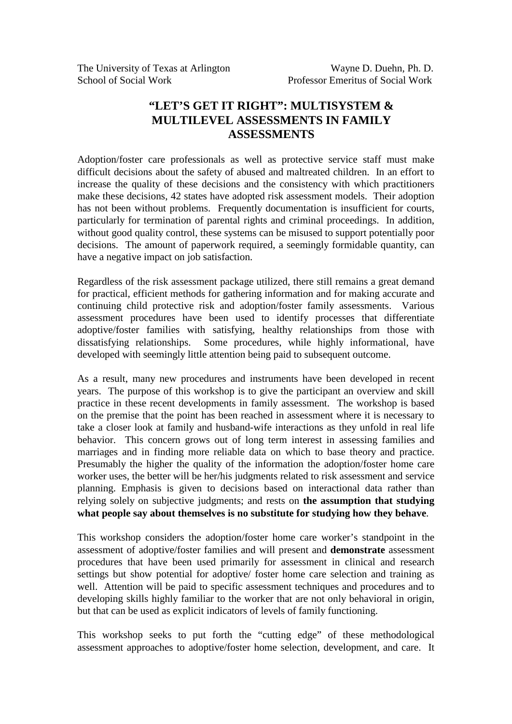Adoption/foster care professionals as well as protective service staff must make difficult decisions about the safety of abused and maltreated children. In an effort to increase the quality of these decisions and the consistency with which practitioners make these decisions, 42 states have adopted risk assessment models. Their adoption has not been without problems. Frequently documentation is insufficient for courts, particularly for termination of parental rights and criminal proceedings. In addition, without good quality control, these systems can be misused to support potentially poor decisions. The amount of paperwork required, a seemingly formidable quantity, can have a negative impact on job satisfaction.

Regardless of the risk assessment package utilized, there still remains a great demand for practical, efficient methods for gathering information and for making accurate and continuing child protective risk and adoption/foster family assessments. Various assessment procedures have been used to identify processes that differentiate adoptive/foster families with satisfying, healthy relationships from those with dissatisfying relationships. Some procedures, while highly informational, have developed with seemingly little attention being paid to subsequent outcome.

As a result, many new procedures and instruments have been developed in recent years. The purpose of this workshop is to give the participant an overview and skill practice in these recent developments in family assessment. The workshop is based on the premise that the point has been reached in assessment where it is necessary to take a closer look at family and husband-wife interactions as they unfold in real life behavior. This concern grows out of long term interest in assessing families and marriages and in finding more reliable data on which to base theory and practice. Presumably the higher the quality of the information the adoption/foster home care worker uses, the better will be her/his judgments related to risk assessment and service planning. Emphasis is given to decisions based on interactional data rather than relying solely on subjective judgments; and rests on **the assumption that studying what people say about themselves is no substitute for studying how they behave**.

This workshop considers the adoption/foster home care worker's standpoint in the assessment of adoptive/foster families and will present and **demonstrate** assessment procedures that have been used primarily for assessment in clinical and research settings but show potential for adoptive/ foster home care selection and training as well. Attention will be paid to specific assessment techniques and procedures and to developing skills highly familiar to the worker that are not only behavioral in origin, but that can be used as explicit indicators of levels of family functioning.

This workshop seeks to put forth the "cutting edge" of these methodological assessment approaches to adoptive/foster home selection, development, and care. It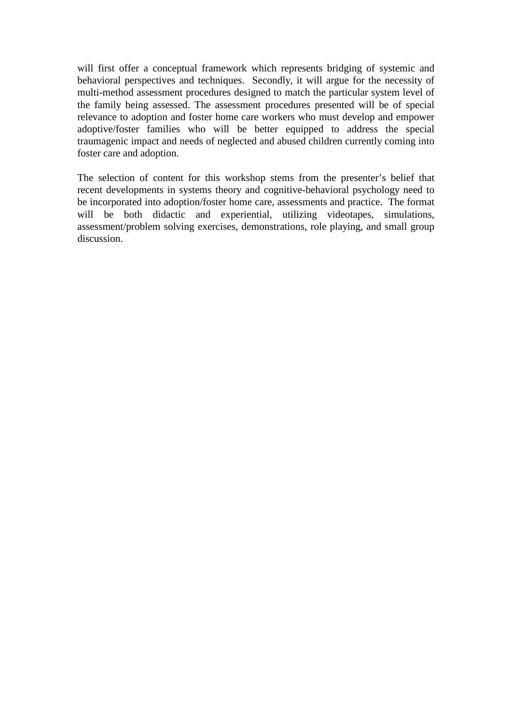will first offer a conceptual framework which represents bridging of systemic and behavioral perspectives and techniques. Secondly, it will argue for the necessity of multi-method assessment procedures designed to match the particular system level of the family being assessed. The assessment procedures presented will be of special relevance to adoption and foster home care workers who must develop and empower adoptive/foster families who will be better equipped to address the special traumagenic impact and needs of neglected and abused children currently coming into foster care and adoption.

The selection of content for this workshop stems from the presenter's belief that recent developments in systems theory and cognitive-behavioral psychology need to be incorporated into adoption/foster home care, assessments and practice. The format will be both didactic and experiential, utilizing videotapes, simulations, assessment/problem solving exercises, demonstrations, role playing, and small group discussion.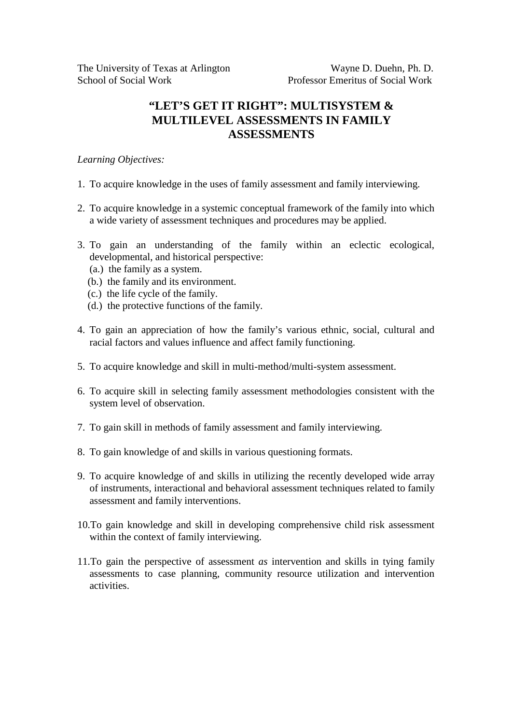# *Learning Objectives:*

- 1. To acquire knowledge in the uses of family assessment and family interviewing.
- 2. To acquire knowledge in a systemic conceptual framework of the family into which a wide variety of assessment techniques and procedures may be applied.
- 3. To gain an understanding of the family within an eclectic ecological, developmental, and historical perspective:
	- (a.) the family as a system.
	- (b.) the family and its environment.
	- (c.) the life cycle of the family.
	- (d.) the protective functions of the family.
- 4. To gain an appreciation of how the family's various ethnic, social, cultural and racial factors and values influence and affect family functioning.
- 5. To acquire knowledge and skill in multi-method/multi-system assessment.
- 6. To acquire skill in selecting family assessment methodologies consistent with the system level of observation.
- 7. To gain skill in methods of family assessment and family interviewing.
- 8. To gain knowledge of and skills in various questioning formats.
- 9. To acquire knowledge of and skills in utilizing the recently developed wide array of instruments, interactional and behavioral assessment techniques related to family assessment and family interventions.
- 10.To gain knowledge and skill in developing comprehensive child risk assessment within the context of family interviewing.
- 11.To gain the perspective of assessment *as* intervention and skills in tying family assessments to case planning, community resource utilization and intervention activities.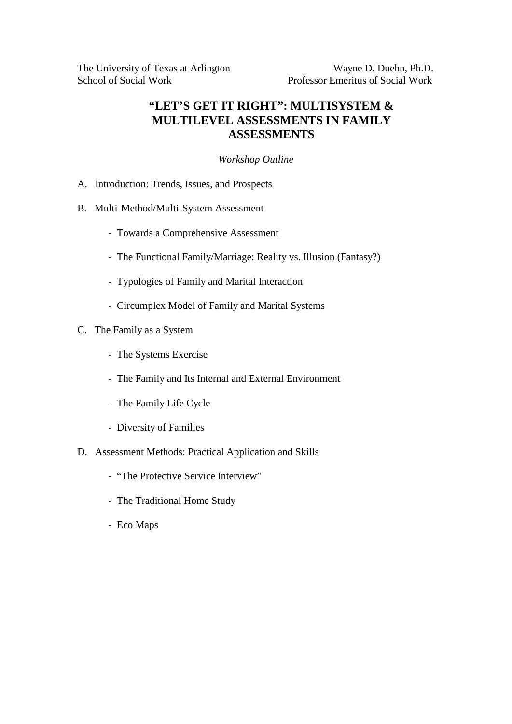# *Workshop Outline*

- A. Introduction: Trends, Issues, and Prospects
- B. Multi-Method/Multi-System Assessment
	- Towards a Comprehensive Assessment
	- The Functional Family/Marriage: Reality vs. Illusion (Fantasy?)
	- Typologies of Family and Marital Interaction
	- Circumplex Model of Family and Marital Systems
- C. The Family as a System
	- The Systems Exercise
	- The Family and Its Internal and External Environment
	- The Family Life Cycle
	- Diversity of Families
- D. Assessment Methods: Practical Application and Skills
	- "The Protective Service Interview"
	- The Traditional Home Study
	- Eco Maps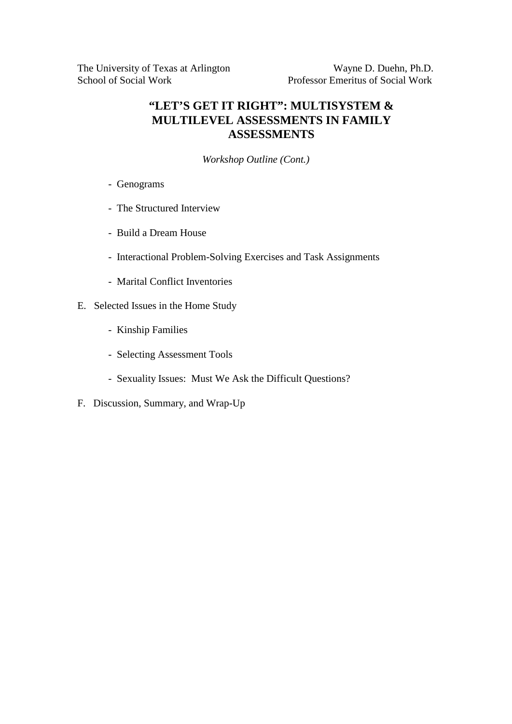*Workshop Outline (Cont.)*

- Genograms
- The Structured Interview
- Build a Dream House
- Interactional Problem-Solving Exercises and Task Assignments
- Marital Conflict Inventories
- E. Selected Issues in the Home Study
	- Kinship Families
	- Selecting Assessment Tools
	- Sexuality Issues: Must We Ask the Difficult Questions?
- F. Discussion, Summary, and Wrap-Up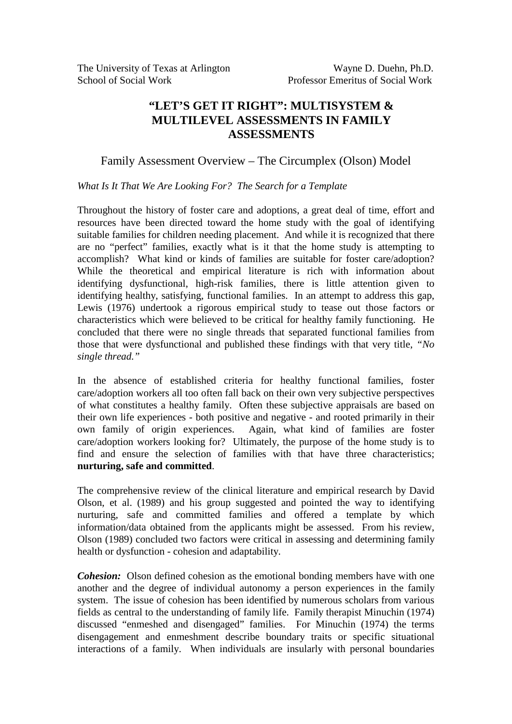# Family Assessment Overview – The Circumplex (Olson) Model

## *What Is It That We Are Looking For? The Search for a Template*

Throughout the history of foster care and adoptions, a great deal of time, effort and resources have been directed toward the home study with the goal of identifying suitable families for children needing placement. And while it is recognized that there are no "perfect" families, exactly what is it that the home study is attempting to accomplish? What kind or kinds of families are suitable for foster care/adoption? While the theoretical and empirical literature is rich with information about identifying dysfunctional, high-risk families, there is little attention given to identifying healthy, satisfying, functional families. In an attempt to address this gap, Lewis (1976) undertook a rigorous empirical study to tease out those factors or characteristics which were believed to be critical for healthy family functioning. He concluded that there were no single threads that separated functional families from those that were dysfunctional and published these findings with that very title, *"No single thread."*

In the absence of established criteria for healthy functional families, foster care/adoption workers all too often fall back on their own very subjective perspectives of what constitutes a healthy family. Often these subjective appraisals are based on their own life experiences - both positive and negative - and rooted primarily in their<br>own family of origin experiences. Again, what kind of families are foster Again, what kind of families are foster care/adoption workers looking for? Ultimately, the purpose of the home study is to find and ensure the selection of families with that have three characteristics; **nurturing, safe and committed**.

The comprehensive review of the clinical literature and empirical research by David Olson, et al. (1989) and his group suggested and pointed the way to identifying nurturing, safe and committed families and offered a template by which information/data obtained from the applicants might be assessed. From his review, Olson (1989) concluded two factors were critical in assessing and determining family health or dysfunction - cohesion and adaptability.

*Cohesion:* Olson defined cohesion as the emotional bonding members have with one another and the degree of individual autonomy a person experiences in the family system. The issue of cohesion has been identified by numerous scholars from various fields as central to the understanding of family life. Family therapist Minuchin (1974) discussed "enmeshed and disengaged" families. For Minuchin (1974) the terms disengagement and enmeshment describe boundary traits or specific situational interactions of a family. When individuals are insularly with personal boundaries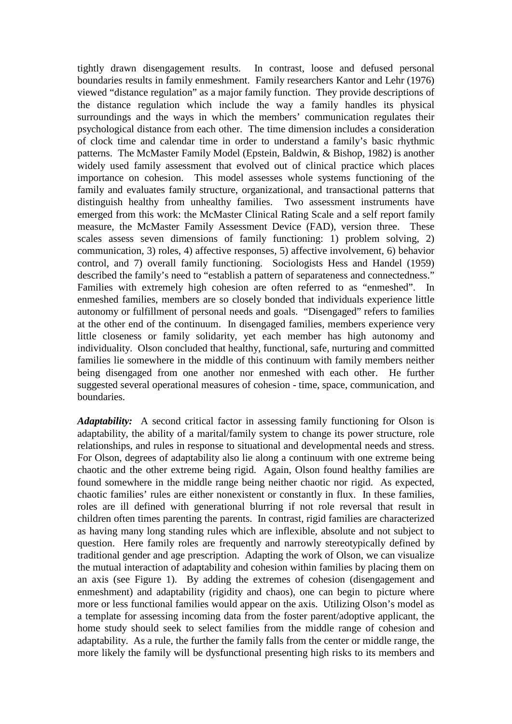tightly drawn disengagement results. In contrast, loose and defused personal boundaries results in family enmeshment. Family researchers Kantor and Lehr (1976) viewed "distance regulation" as a major family function. They provide descriptions of the distance regulation which include the way a family handles its physical surroundings and the ways in which the members' communication regulates their psychological distance from each other. The time dimension includes a consideration of clock time and calendar time in order to understand a family's basic rhythmic patterns. The McMaster Family Model (Epstein, Baldwin, & Bishop, 1982) is another widely used family assessment that evolved out of clinical practice which places importance on cohesion. This model assesses whole systems functioning of the family and evaluates family structure, organizational, and transactional patterns that distinguish healthy from unhealthy families. Two assessment instruments have emerged from this work: the McMaster Clinical Rating Scale and a self report family measure, the McMaster Family Assessment Device (FAD), version three. These scales assess seven dimensions of family functioning: 1) problem solving, 2) communication, 3) roles, 4) affective responses, 5) affective involvement, 6) behavior control, and 7) overall family functioning. Sociologists Hess and Handel (1959) described the family's need to "establish a pattern of separateness and connectedness." Families with extremely high cohesion are often referred to as "enmeshed". In enmeshed families, members are so closely bonded that individuals experience little autonomy or fulfillment of personal needs and goals. "Disengaged" refers to families at the other end of the continuum. In disengaged families, members experience very little closeness or family solidarity, yet each member has high autonomy and individuality. Olson concluded that healthy, functional, safe, nurturing and committed families lie somewhere in the middle of this continuum with family members neither being disengaged from one another nor enmeshed with each other. He further suggested several operational measures of cohesion - time, space, communication, and boundaries.

*Adaptability:* A second critical factor in assessing family functioning for Olson is adaptability, the ability of a marital/family system to change its power structure, role relationships, and rules in response to situational and developmental needs and stress. For Olson, degrees of adaptability also lie along a continuum with one extreme being chaotic and the other extreme being rigid. Again, Olson found healthy families are found somewhere in the middle range being neither chaotic nor rigid. As expected, chaotic families' rules are either nonexistent or constantly in flux. In these families, roles are ill defined with generational blurring if not role reversal that result in children often times parenting the parents. In contrast, rigid families are characterized as having many long standing rules which are inflexible, absolute and not subject to question. Here family roles are frequently and narrowly stereotypically defined by traditional gender and age prescription. Adapting the work of Olson, we can visualize the mutual interaction of adaptability and cohesion within families by placing them on an axis (see Figure 1). By adding the extremes of cohesion (disengagement and enmeshment) and adaptability (rigidity and chaos), one can begin to picture where more or less functional families would appear on the axis. Utilizing Olson's model as a template for assessing incoming data from the foster parent/adoptive applicant, the home study should seek to select families from the middle range of cohesion and adaptability. As a rule, the further the family falls from the center or middle range, the more likely the family will be dysfunctional presenting high risks to its members and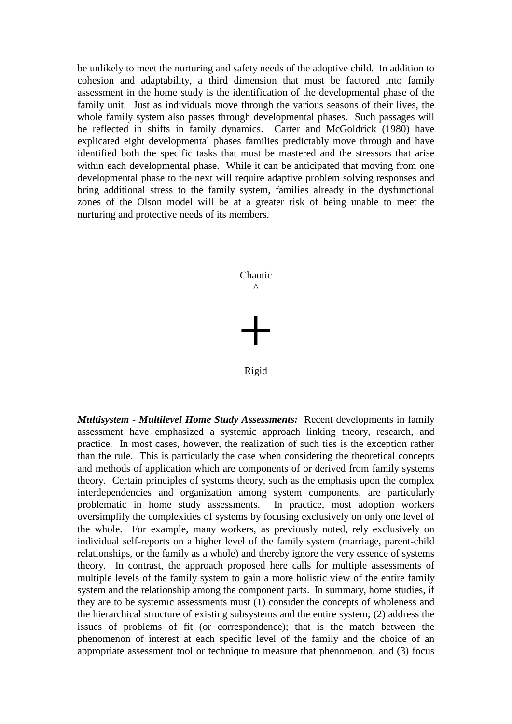be unlikely to meet the nurturing and safety needs of the adoptive child. In addition to cohesion and adaptability, a third dimension that must be factored into family assessment in the home study is the identification of the developmental phase of the family unit. Just as individuals move through the various seasons of their lives, the whole family system also passes through developmental phases. Such passages will be reflected in shifts in family dynamics. Carter and McGoldrick (1980) have explicated eight developmental phases families predictably move through and have identified both the specific tasks that must be mastered and the stressors that arise within each developmental phase. While it can be anticipated that moving from one developmental phase to the next will require adaptive problem solving responses and bring additional stress to the family system, families already in the dysfunctional zones of the Olson model will be at a greater risk of being unable to meet the nurturing and protective needs of its members.



Rigid

*Multisystem - Multilevel Home Study Assessments:* Recent developments in family assessment have emphasized a systemic approach linking theory, research, and practice. In most cases, however, the realization of such ties is the exception rather than the rule. This is particularly the case when considering the theoretical concepts and methods of application which are components of or derived from family systems theory. Certain principles of systems theory, such as the emphasis upon the complex interdependencies and organization among system components, are particularly problematic in home study assessments. In practice, most adoption workers oversimplify the complexities of systems by focusing exclusively on only one level of the whole. For example, many workers, as previously noted, rely exclusively on individual self-reports on a higher level of the family system (marriage, parent-child relationships, or the family as a whole) and thereby ignore the very essence of systems theory. In contrast, the approach proposed here calls for multiple assessments of multiple levels of the family system to gain a more holistic view of the entire family system and the relationship among the component parts. In summary, home studies, if they are to be systemic assessments must (1) consider the concepts of wholeness and the hierarchical structure of existing subsystems and the entire system; (2) address the issues of problems of fit (or correspondence); that is the match between the phenomenon of interest at each specific level of the family and the choice of an appropriate assessment tool or technique to measure that phenomenon; and (3) focus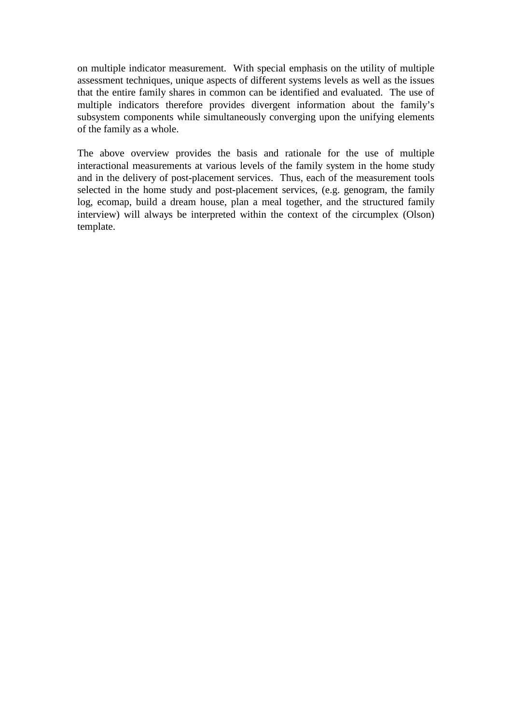on multiple indicator measurement. With special emphasis on the utility of multiple assessment techniques, unique aspects of different systems levels as well as the issues that the entire family shares in common can be identified and evaluated. The use of multiple indicators therefore provides divergent information about the family's subsystem components while simultaneously converging upon the unifying elements of the family as a whole.

The above overview provides the basis and rationale for the use of multiple interactional measurements at various levels of the family system in the home study and in the delivery of post-placement services. Thus, each of the measurement tools selected in the home study and post-placement services, (e.g. genogram, the family log, ecomap, build a dream house, plan a meal together, and the structured family interview) will always be interpreted within the context of the circumplex (Olson) template.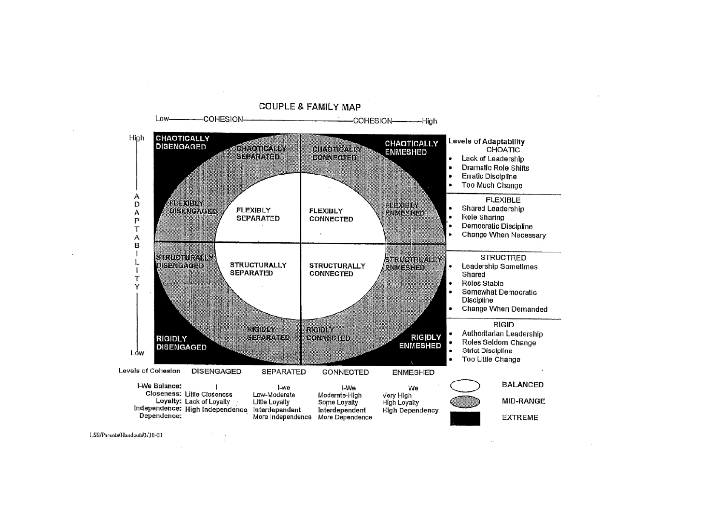

LSS/Parents/Handout/#3/10-03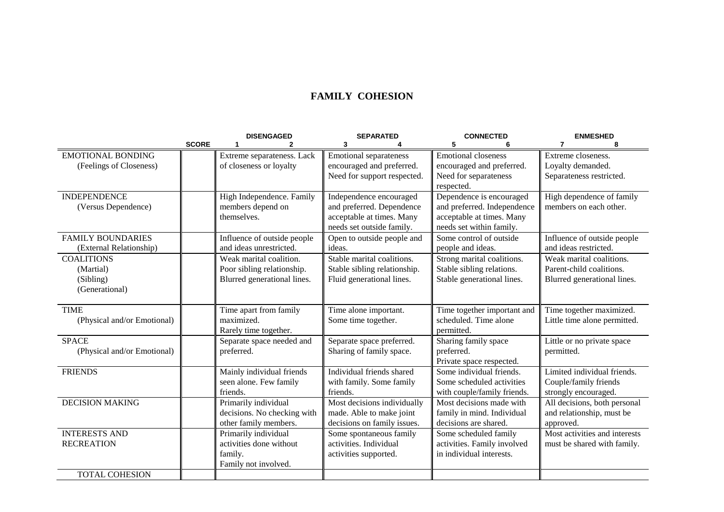### **FAMILY COHESION**

|                             |              | <b>DISENGAGED</b>           | <b>SEPARATED</b>              | <b>CONNECTED</b>            | <b>ENMESHED</b>               |
|-----------------------------|--------------|-----------------------------|-------------------------------|-----------------------------|-------------------------------|
|                             | <b>SCORE</b> | 2                           | 3                             | 5                           | 8<br>7                        |
| <b>EMOTIONAL BONDING</b>    |              | Extreme separateness. Lack  | <b>Emotional separateness</b> | <b>Emotional closeness</b>  | Extreme closeness.            |
| (Feelings of Closeness)     |              | of closeness or loyalty     | encouraged and preferred.     | encouraged and preferred.   | Loyalty demanded.             |
|                             |              |                             | Need for support respected.   | Need for separateness       | Separateness restricted.      |
|                             |              |                             |                               | respected.                  |                               |
| <b>INDEPENDENCE</b>         |              | High Independence. Family   | Independence encouraged       | Dependence is encouraged    | High dependence of family     |
| (Versus Dependence)         |              | members depend on           | and preferred. Dependence     | and preferred. Independence | members on each other.        |
|                             |              | themselves.                 | acceptable at times. Many     | acceptable at times. Many   |                               |
|                             |              |                             | needs set outside family.     | needs set within family.    |                               |
| <b>FAMILY BOUNDARIES</b>    |              | Influence of outside people | Open to outside people and    | Some control of outside     | Influence of outside people   |
| (External Relationship)     |              | and ideas unrestricted.     | ideas.                        | people and ideas.           | and ideas restricted.         |
| <b>COALITIONS</b>           |              | Weak marital coalition.     | Stable marital coalitions.    | Strong marital coalitions.  | Weak marital coalitions.      |
| (Martial)                   |              | Poor sibling relationship.  | Stable sibling relationship.  | Stable sibling relations.   | Parent-child coalitions.      |
| (Sibling)                   |              | Blurred generational lines. | Fluid generational lines.     | Stable generational lines.  | Blurred generational lines.   |
| (Generational)              |              |                             |                               |                             |                               |
|                             |              |                             |                               |                             |                               |
| <b>TIME</b>                 |              | Time apart from family      | Time alone important.         | Time together important and | Time together maximized.      |
| (Physical and/or Emotional) |              | maximized.                  | Some time together.           | scheduled. Time alone       | Little time alone permitted.  |
|                             |              | Rarely time together.       |                               | permitted.                  |                               |
| <b>SPACE</b>                |              | Separate space needed and   | Separate space preferred.     | Sharing family space        | Little or no private space    |
| (Physical and/or Emotional) |              | preferred.                  | Sharing of family space.      | preferred.                  | permitted.                    |
|                             |              |                             |                               | Private space respected.    |                               |
| <b>FRIENDS</b>              |              | Mainly individual friends   | Individual friends shared     | Some individual friends.    | Limited individual friends.   |
|                             |              | seen alone. Few family      | with family. Some family      | Some scheduled activities   | Couple/family friends         |
|                             |              | friends.                    | friends.                      | with couple/family friends. | strongly encouraged.          |
| <b>DECISION MAKING</b>      |              | Primarily individual        | Most decisions individually   | Most decisions made with    | All decisions, both personal  |
|                             |              | decisions. No checking with | made. Able to make joint      | family in mind. Individual  | and relationship, must be     |
|                             |              | other family members.       | decisions on family issues.   | decisions are shared.       | approved.                     |
| <b>INTERESTS AND</b>        |              | Primarily individual        | Some spontaneous family       | Some scheduled family       | Most activities and interests |
| <b>RECREATION</b>           |              | activities done without     | activities. Individual        | activities. Family involved | must be shared with family.   |
|                             |              | family.                     | activities supported.         | in individual interests.    |                               |
|                             |              | Family not involved.        |                               |                             |                               |
| <b>TOTAL COHESION</b>       |              |                             |                               |                             |                               |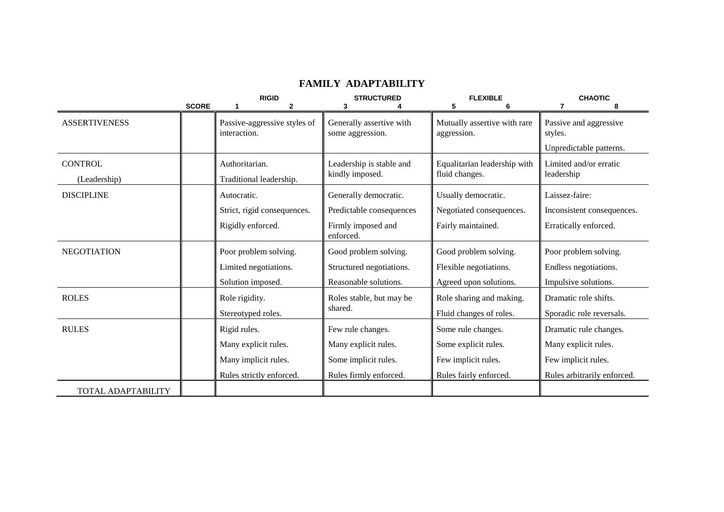|                           |              | <b>RIGID</b>                                 | <b>STRUCTURED</b>                            | <b>FLEXIBLE</b>                             | <b>CHAOTIC</b>                    |
|---------------------------|--------------|----------------------------------------------|----------------------------------------------|---------------------------------------------|-----------------------------------|
|                           | <b>SCORE</b> | 2                                            | 3                                            | 5                                           | 8                                 |
| <b>ASSERTIVENESS</b>      |              | Passive-aggressive styles of<br>interaction. | Generally assertive with<br>some aggression. | Mutually assertive with rare<br>aggression. | Passive and aggressive<br>styles. |
|                           |              |                                              |                                              |                                             | Unpredictable patterns.           |
| <b>CONTROL</b>            |              | Authoritarian.                               | Leadership is stable and                     | Equalitarian leadership with                | Limited and/or erratic            |
| (Leadership)              |              | Traditional leadership.                      | kindly imposed.                              | fluid changes.                              | leadership                        |
| <b>DISCIPLINE</b>         |              | Autocratic.                                  | Generally democratic.                        | Usually democratic.                         | Laissez-faire:                    |
|                           |              | Strict, rigid consequences.                  | Predictable consequences                     | Negotiated consequences.                    | Inconsistent consequences.        |
|                           |              | Rigidly enforced.                            | Firmly imposed and<br>enforced.              | Fairly maintained.                          | Erratically enforced.             |
| <b>NEGOTIATION</b>        |              | Poor problem solving.                        | Good problem solving.                        | Good problem solving.                       | Poor problem solving.             |
|                           |              | Limited negotiations.                        | Structured negotiations.                     | Flexible negotiations.                      | Endless negotiations.             |
|                           |              | Solution imposed.                            | Reasonable solutions.                        | Agreed upon solutions.                      | Impulsive solutions.              |
| <b>ROLES</b>              |              | Role rigidity.                               | Roles stable, but may be                     | Role sharing and making.                    | Dramatic role shifts.             |
|                           |              | Stereotyped roles.                           | shared.                                      | Fluid changes of roles.                     | Sporadic role reversals.          |
| <b>RULES</b>              |              | Rigid rules.                                 | Few rule changes.                            | Some rule changes.                          | Dramatic rule changes.            |
|                           |              | Many explicit rules.                         | Many explicit rules.                         | Some explicit rules.                        | Many explicit rules.              |
|                           |              | Many implicit rules.                         | Some implicit rules.                         | Few implicit rules.                         | Few implicit rules.               |
|                           |              | Rules strictly enforced.                     | Rules firmly enforced.                       | Rules fairly enforced.                      | Rules arbitrarily enforced.       |
| <b>TOTAL ADAPTABILITY</b> |              |                                              |                                              |                                             |                                   |

#### **FAMILY ADAPTABILITY**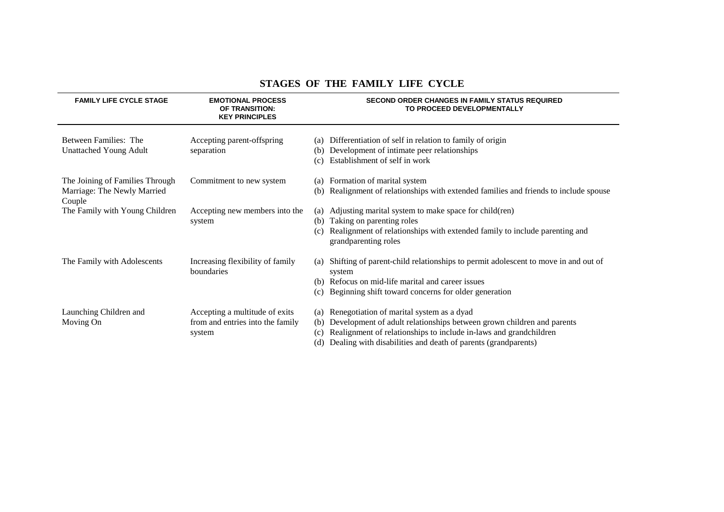| <b>FAMILY LIFE CYCLE STAGE</b>                                           | <b>EMOTIONAL PROCESS</b><br>OF TRANSITION:<br><b>KEY PRINCIPLES</b>          | <b>SECOND ORDER CHANGES IN FAMILY STATUS REQUIRED</b><br>TO PROCEED DEVELOPMENTALLY                                                                                                                                                                                                  |
|--------------------------------------------------------------------------|------------------------------------------------------------------------------|--------------------------------------------------------------------------------------------------------------------------------------------------------------------------------------------------------------------------------------------------------------------------------------|
| Between Families: The<br><b>Unattached Young Adult</b>                   | Accepting parent-offspring<br>separation                                     | Differentiation of self in relation to family of origin<br>(a)<br>Development of intimate peer relationships<br>(b)<br>Establishment of self in work<br>(c)                                                                                                                          |
| The Joining of Families Through<br>Marriage: The Newly Married<br>Couple | Commitment to new system                                                     | Formation of marital system<br>(a)<br>Realignment of relationships with extended families and friends to include spouse<br>(b)                                                                                                                                                       |
| The Family with Young Children                                           | Accepting new members into the<br>system                                     | Adjusting marital system to make space for child(ren)<br>(a)<br>Taking on parenting roles<br>(b)<br>Realignment of relationships with extended family to include parenting and<br>(c)<br>grandparenting roles                                                                        |
| The Family with Adolescents                                              | Increasing flexibility of family<br>boundaries                               | Shifting of parent-child relationships to permit adolescent to move in and out of<br>(a)<br>system<br>Refocus on mid-life marital and career issues<br>(b)<br>Beginning shift toward concerns for older generation<br>(c)                                                            |
| Launching Children and<br>Moving On                                      | Accepting a multitude of exits<br>from and entries into the family<br>system | Renegotiation of marital system as a dyad<br>(a)<br>Development of adult relationships between grown children and parents<br>(b)<br>Realignment of relationships to include in-laws and grandchildren<br>(c)<br>Dealing with disabilities and death of parents (grandparents)<br>(d) |

#### **STAGES OF THE FAMILY LIFE CYCLE**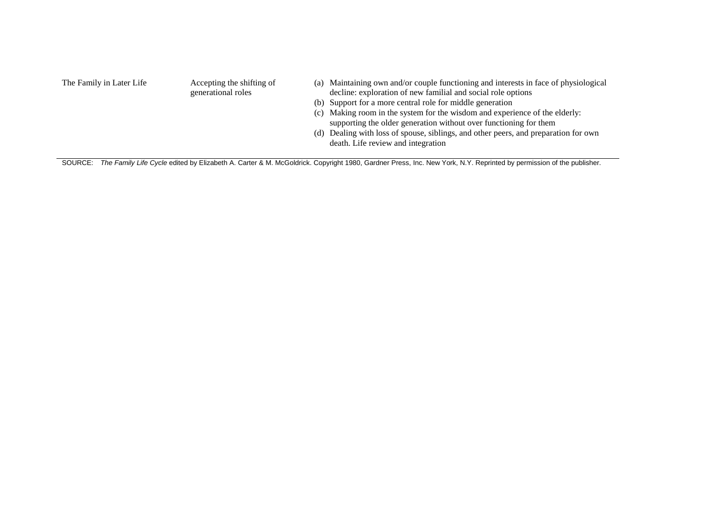| The Family in Later Life | Accepting the shifting of | (a) Maintaining own and/or couple functioning and interests in face of physiological |
|--------------------------|---------------------------|--------------------------------------------------------------------------------------|
|                          | generational roles        | decline: exploration of new familial and social role options                         |
|                          |                           | (b) Support for a more central role for middle generation                            |
|                          |                           | (c) Making room in the system for the wisdom and experience of the elderly:          |
|                          |                           | supporting the older generation without over functioning for them                    |
|                          |                           | (d) Dealing with loss of spouse, siblings, and other peers, and preparation for own  |
|                          |                           | death. Life review and integration                                                   |
|                          |                           |                                                                                      |

SOURCE: *The Family Life Cycle* edited by Elizabeth A. Carter & M. McGoldrick. Copyright 1980, Gardner Press, Inc. New York, N.Y. Reprinted by permission of the publisher.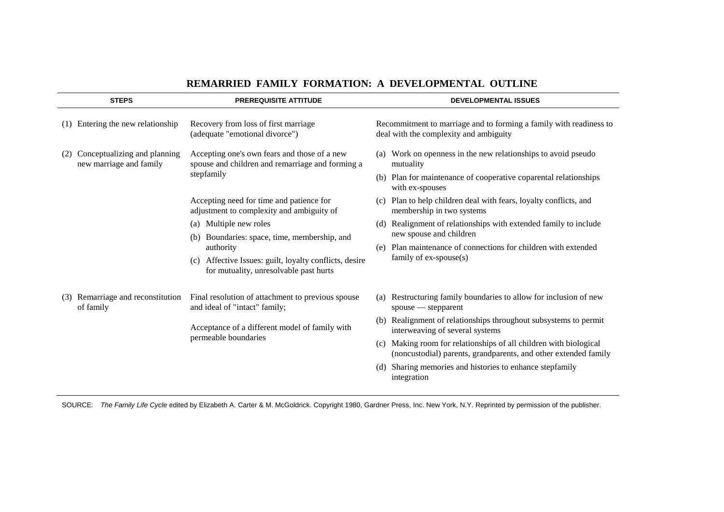| <b>STEPS</b>                                                   | <b>PREREQUISITE ATTITUDE</b>                                                                                   | <b>DEVELOPMENTAL ISSUES</b>                                                                                                                                         |  |  |
|----------------------------------------------------------------|----------------------------------------------------------------------------------------------------------------|---------------------------------------------------------------------------------------------------------------------------------------------------------------------|--|--|
| Entering the new relationship<br>(1)                           | Recovery from loss of first marriage<br>(adequate "emotional divorce")                                         | Recommitment to marriage and to forming a family with readiness to<br>deal with the complexity and ambiguity                                                        |  |  |
| Conceptualizing and planning<br>(2)<br>new marriage and family | Accepting one's own fears and those of a new<br>spouse and children and remarriage and forming a<br>stepfamily | Work on openness in the new relationships to avoid pseudo<br>(a)<br>mutuality<br>(b) Plan for maintenance of cooperative coparental relationships                   |  |  |
|                                                                | Accepting need for time and patience for<br>adjustment to complexity and ambiguity of                          | with ex-spouses<br>(c) Plan to help children deal with fears, loyalty conflicts, and<br>membership in two systems                                                   |  |  |
|                                                                | Multiple new roles<br>(a)<br>Boundaries: space, time, membership, and<br>(b)<br>authority                      | Realignment of relationships with extended family to include<br>(d)<br>new spouse and children<br>Plan maintenance of connections for children with extended<br>(e) |  |  |
|                                                                | Affective Issues: guilt, loyalty conflicts, desire<br>(c)<br>for mutuality, unresolvable past hurts            | family of ex-spouse(s)                                                                                                                                              |  |  |
| Remarriage and reconstitution<br>(3)<br>of family              | Final resolution of attachment to previous spouse<br>and ideal of "intact" family;                             | Restructuring family boundaries to allow for inclusion of new<br>(a)<br>$spouse$ - stepparent                                                                       |  |  |
|                                                                | Acceptance of a different model of family with                                                                 | Realignment of relationships throughout subsystems to permit<br>(b)<br>interweaving of several systems                                                              |  |  |
|                                                                | permeable boundaries                                                                                           | Making room for relationships of all children with biological<br>(c)<br>(noncustodial) parents, grandparents, and other extended family                             |  |  |
|                                                                |                                                                                                                | Sharing memories and histories to enhance stepfamily<br>(d)<br>integration                                                                                          |  |  |

#### **REMARRIED FAMILY FORMATION: A DEVELOPMENTAL OUTLINE**

SOURCE: *The Family Life Cycle* edited by Elizabeth A. Carter & M. McGoldrick. Copyright 1980, Gardner Press, Inc. New York, N.Y. Reprinted by permission of the publisher.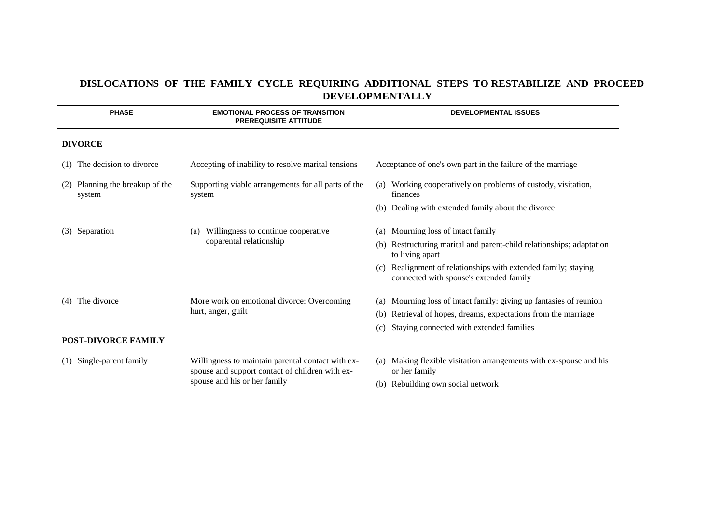# **DISLOCATIONS OF THE FAMILY CYCLE REQUIRING ADDITIONAL STEPS TO RESTABILIZE AND PROCEED DEVELOPMENTALLY**

| <b>PHASE</b>                                 | <b>EMOTIONAL PROCESS OF TRANSITION</b><br><b>PREREQUISITE ATTITUDE</b>                               | <b>DEVELOPMENTAL ISSUES</b>                                                                           |
|----------------------------------------------|------------------------------------------------------------------------------------------------------|-------------------------------------------------------------------------------------------------------|
| <b>DIVORCE</b>                               |                                                                                                      |                                                                                                       |
| The decision to divorce<br>(1)               | Accepting of inability to resolve marital tensions                                                   | Acceptance of one's own part in the failure of the marriage                                           |
| Planning the breakup of the<br>(2)<br>system | Supporting viable arrangements for all parts of the<br>system                                        | (a) Working cooperatively on problems of custody, visitation,<br>finances                             |
|                                              |                                                                                                      | (b) Dealing with extended family about the divorce                                                    |
| Separation<br>(3)                            | Willingness to continue cooperative<br>(a)<br>coparental relationship                                | Mourning loss of intact family<br>(a)                                                                 |
|                                              |                                                                                                      | Restructuring marital and parent-child relationships; adaptation<br>to living apart                   |
|                                              |                                                                                                      | Realignment of relationships with extended family; staying<br>connected with spouse's extended family |
| The divorce<br>(4)                           | More work on emotional divorce: Overcoming                                                           | Mourning loss of intact family: giving up fantasies of reunion<br>(a)                                 |
|                                              | hurt, anger, guilt                                                                                   | Retrieval of hopes, dreams, expectations from the marriage<br>(b)                                     |
|                                              |                                                                                                      | Staying connected with extended families<br>(c)                                                       |
| <b>POST-DIVORCE FAMILY</b>                   |                                                                                                      |                                                                                                       |
| Single-parent family<br>(1)                  | Willingness to maintain parental contact with ex-<br>spouse and support contact of children with ex- | Making flexible visitation arrangements with ex-spouse and his<br>(a)<br>or her family                |
|                                              | spouse and his or her family                                                                         | Rebuilding own social network<br>(b)                                                                  |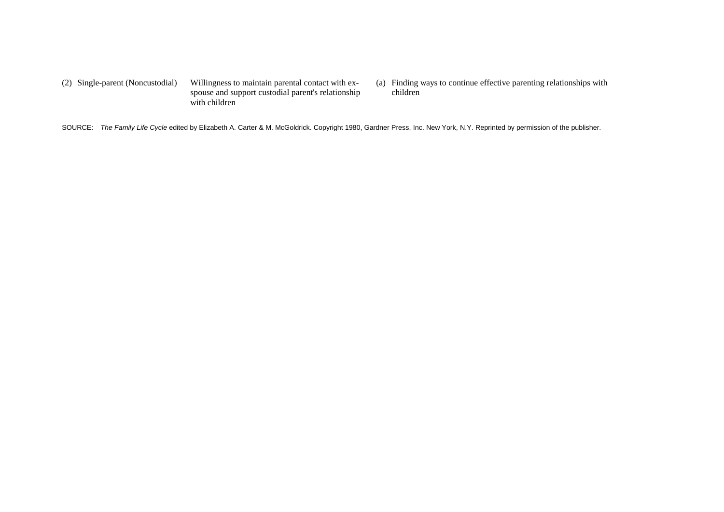(2) Single-parent (Noncustodial) Willingness to maintain parental contact with exspouse and support custodial parent's relationship with children

(a) Finding ways to continue effective parenting relationships with children

SOURCE: *The Family Life Cycle* edited by Elizabeth A. Carter & M. McGoldrick. Copyright 1980, Gardner Press, Inc. New York, N.Y. Reprinted by permission of the publisher.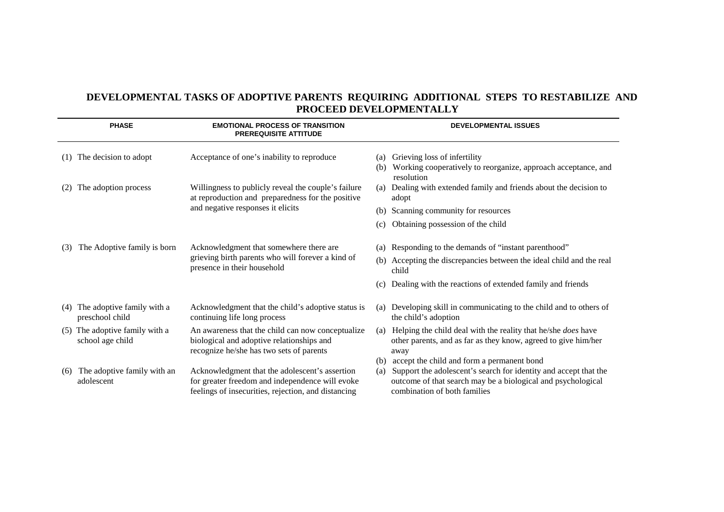# **DEVELOPMENTAL TASKS OF ADOPTIVE PARENTS REQUIRING ADDITIONAL STEPS TO RESTABILIZE AND PROCEED DEVELOPMENTALLY**

|                             | <b>PHASE</b>                                   | <b>EMOTIONAL PROCESS OF TRANSITION</b><br><b>PREREQUISITE ATTITUDE</b>                                                                                   |            | <b>DEVELOPMENTAL ISSUES</b>                                                                                                                                                                                    |
|-----------------------------|------------------------------------------------|----------------------------------------------------------------------------------------------------------------------------------------------------------|------------|----------------------------------------------------------------------------------------------------------------------------------------------------------------------------------------------------------------|
| (1)                         | The decision to adopt                          | Acceptance of one's inability to reproduce                                                                                                               | (a)        | Grieving loss of infertility                                                                                                                                                                                   |
|                             |                                                |                                                                                                                                                          | (b)        | Working cooperatively to reorganize, approach acceptance, and<br>resolution                                                                                                                                    |
| The adoption process<br>(2) |                                                | Willingness to publicly reveal the couple's failure<br>at reproduction and preparedness for the positive                                                 |            | Dealing with extended family and friends about the decision to<br>adopt                                                                                                                                        |
|                             |                                                | and negative responses it elicits                                                                                                                        | (b)        | Scanning community for resources                                                                                                                                                                               |
|                             |                                                |                                                                                                                                                          |            | Obtaining possession of the child                                                                                                                                                                              |
| (3)                         | The Adoptive family is born                    | Acknowledgment that somewhere there are                                                                                                                  |            | (a) Responding to the demands of "instant parenthood"                                                                                                                                                          |
|                             |                                                | grieving birth parents who will forever a kind of<br>presence in their household                                                                         |            | (b) Accepting the discrepancies between the ideal child and the real<br>child                                                                                                                                  |
|                             |                                                |                                                                                                                                                          | (c)        | Dealing with the reactions of extended family and friends                                                                                                                                                      |
| (4)                         | The adoptive family with a<br>preschool child  | Acknowledgment that the child's adoptive status is<br>continuing life long process                                                                       | (a)        | Developing skill in communicating to the child and to others of<br>the child's adoption                                                                                                                        |
| (5)                         | The adoptive family with a<br>school age child | An awareness that the child can now conceptualize<br>biological and adoptive relationships and                                                           | (a)        | Helping the child deal with the reality that he/she <i>does</i> have<br>other parents, and as far as they know, agreed to give him/her                                                                         |
|                             |                                                | recognize he/she has two sets of parents                                                                                                                 |            | away                                                                                                                                                                                                           |
| (6)                         | The adoptive family with an<br>adolescent      | Acknowledgment that the adolescent's assertion<br>for greater freedom and independence will evoke<br>feelings of insecurities, rejection, and distancing | (b)<br>(a) | accept the child and form a permanent bond<br>Support the adolescent's search for identity and accept that the<br>outcome of that search may be a biological and psychological<br>combination of both families |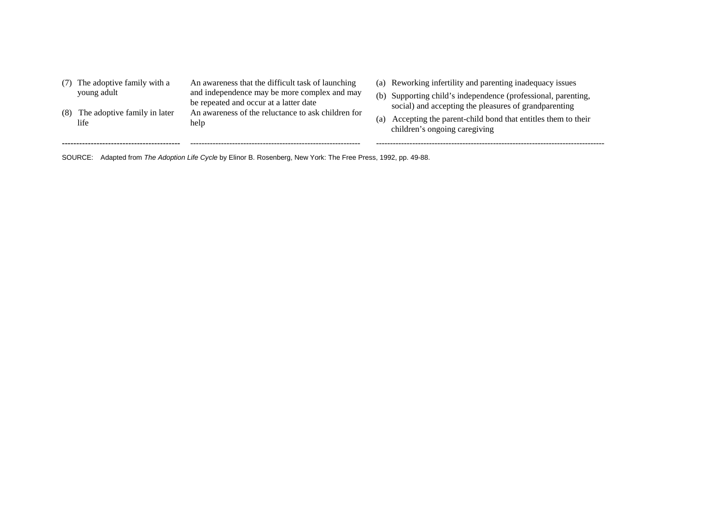| (8) | (7) The adoptive family with a<br>young adult<br>The adoptive family in later<br>life | An awareness that the difficult task of launching<br>and independence may be more complex and may<br>be repeated and occur at a latter date<br>An awareness of the reluctance to ask children for<br>help | (a) | (a) Reworking infertility and parenting inadequacy issues<br>(b) Supporting child's independence (professional, parenting,<br>social) and accepting the pleasures of grandparenting<br>Accepting the parent-child bond that entitles them to their<br>children's ongoing caregiving |
|-----|---------------------------------------------------------------------------------------|-----------------------------------------------------------------------------------------------------------------------------------------------------------------------------------------------------------|-----|-------------------------------------------------------------------------------------------------------------------------------------------------------------------------------------------------------------------------------------------------------------------------------------|
|     |                                                                                       |                                                                                                                                                                                                           |     |                                                                                                                                                                                                                                                                                     |

SOURCE: Adapted from *The Adoption Life Cycle* by Elinor B. Rosenberg, New York: The Free Press, 1992, pp. 49-88.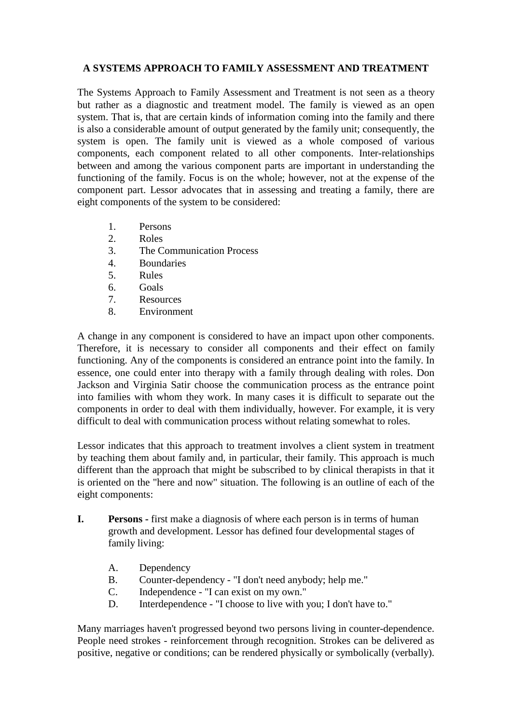## **A SYSTEMS APPROACH TO FAMILY ASSESSMENT AND TREATMENT**

The Systems Approach to Family Assessment and Treatment is not seen as a theory but rather as a diagnostic and treatment model. The family is viewed as an open system. That is, that are certain kinds of information coming into the family and there is also a considerable amount of output generated by the family unit; consequently, the system is open. The family unit is viewed as a whole composed of various components, each component related to all other components. Inter-relationships between and among the various component parts are important in understanding the functioning of the family. Focus is on the whole; however, not at the expense of the component part. Lessor advocates that in assessing and treating a family, there are eight components of the system to be considered:

- 1. Persons
- 2. Roles
- 3. The Communication Process
- 4. Boundaries
- 5. Rules
- 6. Goals
- 7. Resources
- 8. Environment

A change in any component is considered to have an impact upon other components. Therefore, it is necessary to consider all components and their effect on family functioning. Any of the components is considered an entrance point into the family. In essence, one could enter into therapy with a family through dealing with roles. Don Jackson and Virginia Satir choose the communication process as the entrance point into families with whom they work. In many cases it is difficult to separate out the components in order to deal with them individually, however. For example, it is very difficult to deal with communication process without relating somewhat to roles.

Lessor indicates that this approach to treatment involves a client system in treatment by teaching them about family and, in particular, their family. This approach is much different than the approach that might be subscribed to by clinical therapists in that it is oriented on the "here and now" situation. The following is an outline of each of the eight components:

- **I. Persons -** first make a diagnosis of where each person is in terms of human growth and development. Lessor has defined four developmental stages of family living:
	- A. Dependency
	- B. Counter-dependency "I don't need anybody; help me."
	- C. Independence "I can exist on my own."
	- D. Interdependence "I choose to live with you; I don't have to."

Many marriages haven't progressed beyond two persons living in counter-dependence. People need strokes - reinforcement through recognition. Strokes can be delivered as positive, negative or conditions; can be rendered physically or symbolically (verbally).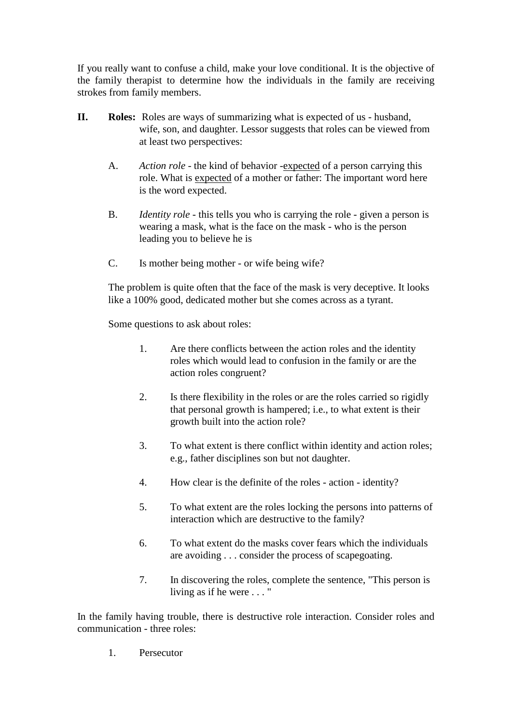If you really want to confuse a child, make your love conditional. It is the objective of the family therapist to determine how the individuals in the family are receiving strokes from family members.

- **II. Roles:** Roles are ways of summarizing what is expected of us husband, wife, son, and daughter. Lessor suggests that roles can be viewed from at least two perspectives:
	- A. *Action role* the kind of behavior -expected of a person carrying this role. What is expected of a mother or father: The important word here is the word expected.
	- B. *Identity role*  this tells you who is carrying the role given a person is wearing a mask, what is the face on the mask - who is the person leading you to believe he is
	- C. Is mother being mother or wife being wife?

The problem is quite often that the face of the mask is very deceptive. It looks like a 100% good, dedicated mother but she comes across as a tyrant.

Some questions to ask about roles:

- 1. Are there conflicts between the action roles and the identity roles which would lead to confusion in the family or are the action roles congruent?
- 2. Is there flexibility in the roles or are the roles carried so rigidly that personal growth is hampered; i.e., to what extent is their growth built into the action role?
- 3. To what extent is there conflict within identity and action roles; e.g., father disciplines son but not daughter.
- 4. How clear is the definite of the roles action identity?
- 5. To what extent are the roles locking the persons into patterns of interaction which are destructive to the family?
- 6. To what extent do the masks cover fears which the individuals are avoiding . . . consider the process of scapegoating.
- 7. In discovering the roles, complete the sentence, "This person is living as if he were . . . "

In the family having trouble, there is destructive role interaction. Consider roles and communication - three roles:

1. Persecutor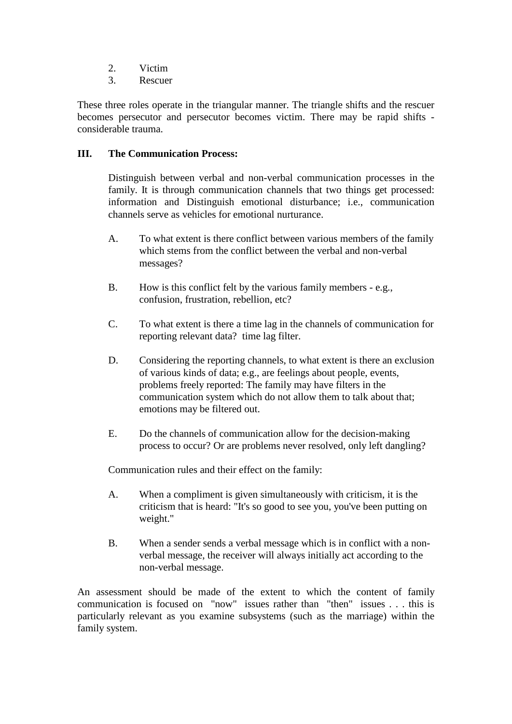- 2. Victim
- 3. Rescuer

These three roles operate in the triangular manner. The triangle shifts and the rescuer becomes persecutor and persecutor becomes victim. There may be rapid shifts considerable trauma.

### **III. The Communication Process:**

Distinguish between verbal and non-verbal communication processes in the family. It is through communication channels that two things get processed: information and Distinguish emotional disturbance; i.e., communication channels serve as vehicles for emotional nurturance.

- A. To what extent is there conflict between various members of the family which stems from the conflict between the verbal and non-verbal messages?
- B. How is this conflict felt by the various family members e.g., confusion, frustration, rebellion, etc?
- C. To what extent is there a time lag in the channels of communication for reporting relevant data? time lag filter.
- D. Considering the reporting channels, to what extent is there an exclusion of various kinds of data; e.g., are feelings about people, events, problems freely reported: The family may have filters in the communication system which do not allow them to talk about that; emotions may be filtered out.
- E. Do the channels of communication allow for the decision-making process to occur? Or are problems never resolved, only left dangling?

Communication rules and their effect on the family:

- A. When a compliment is given simultaneously with criticism, it is the criticism that is heard: "It's so good to see you, you've been putting on weight."
- B. When a sender sends a verbal message which is in conflict with a nonverbal message, the receiver will always initially act according to the non-verbal message.

An assessment should be made of the extent to which the content of family communication is focused on "now" issues rather than "then" issues . . . this is particularly relevant as you examine subsystems (such as the marriage) within the family system.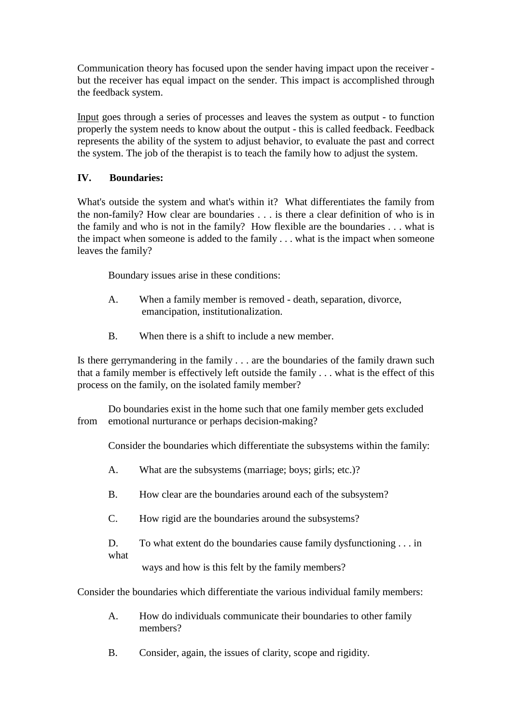Communication theory has focused upon the sender having impact upon the receiver but the receiver has equal impact on the sender. This impact is accomplished through the feedback system.

Input goes through a series of processes and leaves the system as output - to function properly the system needs to know about the output - this is called feedback. Feedback represents the ability of the system to adjust behavior, to evaluate the past and correct the system. The job of the therapist is to teach the family how to adjust the system.

### **IV. Boundaries:**

What's outside the system and what's within it? What differentiates the family from the non-family? How clear are boundaries . . . is there a clear definition of who is in the family and who is not in the family? How flexible are the boundaries . . . what is the impact when someone is added to the family . . . what is the impact when someone leaves the family?

Boundary issues arise in these conditions:

- A. When a family member is removed death, separation, divorce, emancipation, institutionalization.
- B. When there is a shift to include a new member.

Is there gerrymandering in the family . . . are the boundaries of the family drawn such that a family member is effectively left outside the family . . . what is the effect of this process on the family, on the isolated family member?

Do boundaries exist in the home such that one family member gets excluded from emotional nurturance or perhaps decision-making?

Consider the boundaries which differentiate the subsystems within the family:

- A. What are the subsystems (marriage; boys; girls; etc.)?
- B. How clear are the boundaries around each of the subsystem?
- C. How rigid are the boundaries around the subsystems?

D. To what extent do the boundaries cause family dysfunctioning . . . in what

ways and how is this felt by the family members?

Consider the boundaries which differentiate the various individual family members:

- A. How do individuals communicate their boundaries to other family members?
- B. Consider, again, the issues of clarity, scope and rigidity.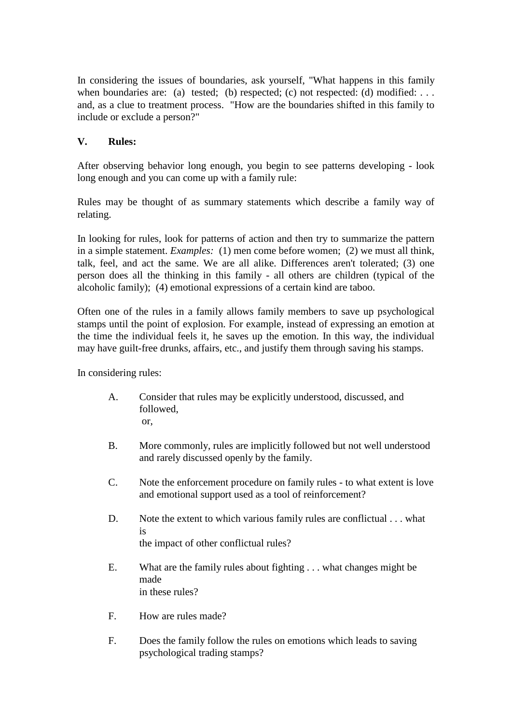In considering the issues of boundaries, ask yourself, "What happens in this family when boundaries are: (a) tested; (b) respected; (c) not respected: (d) modified: ... and, as a clue to treatment process. "How are the boundaries shifted in this family to include or exclude a person?"

# **V. Rules:**

After observing behavior long enough, you begin to see patterns developing - look long enough and you can come up with a family rule:

Rules may be thought of as summary statements which describe a family way of relating.

In looking for rules, look for patterns of action and then try to summarize the pattern in a simple statement. *Examples:* (1) men come before women; (2) we must all think, talk, feel, and act the same. We are all alike. Differences aren't tolerated; (3) one person does all the thinking in this family - all others are children (typical of the alcoholic family); (4) emotional expressions of a certain kind are taboo.

Often one of the rules in a family allows family members to save up psychological stamps until the point of explosion. For example, instead of expressing an emotion at the time the individual feels it, he saves up the emotion. In this way, the individual may have guilt-free drunks, affairs, etc., and justify them through saving his stamps.

In considering rules:

- A. Consider that rules may be explicitly understood, discussed, and followed, or,
- B. More commonly, rules are implicitly followed but not well understood and rarely discussed openly by the family.
- C. Note the enforcement procedure on family rules to what extent is love and emotional support used as a tool of reinforcement?
- D. Note the extent to which various family rules are conflictual . . . what is the impact of other conflictual rules?
- E. What are the family rules about fighting . . . what changes might be made in these rules?
- F. How are rules made?
- F. Does the family follow the rules on emotions which leads to saving psychological trading stamps?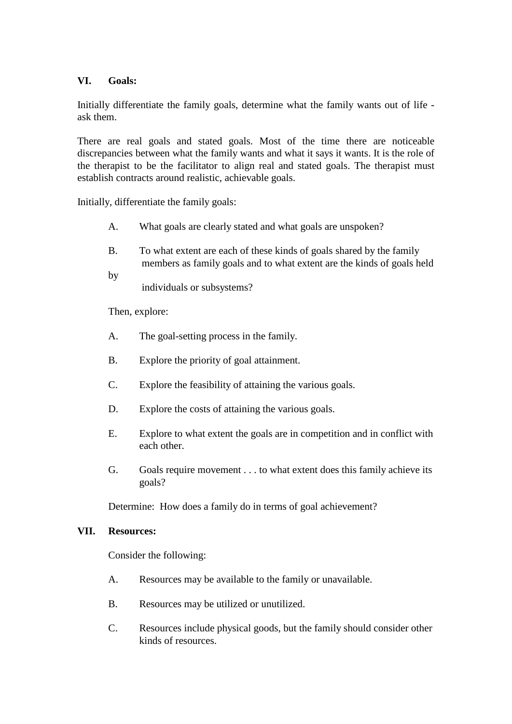### **VI. Goals:**

Initially differentiate the family goals, determine what the family wants out of life ask them.

There are real goals and stated goals. Most of the time there are noticeable discrepancies between what the family wants and what it says it wants. It is the role of the therapist to be the facilitator to align real and stated goals. The therapist must establish contracts around realistic, achievable goals.

Initially, differentiate the family goals:

- A. What goals are clearly stated and what goals are unspoken?
- B. To what extent are each of these kinds of goals shared by the family members as family goals and to what extent are the kinds of goals held
- by

individuals or subsystems?

Then, explore:

- A. The goal-setting process in the family.
- B. Explore the priority of goal attainment.
- C. Explore the feasibility of attaining the various goals.
- D. Explore the costs of attaining the various goals.
- E. Explore to what extent the goals are in competition and in conflict with each other.
- G. Goals require movement . . . to what extent does this family achieve its goals?

Determine: How does a family do in terms of goal achievement?

#### **VII. Resources:**

Consider the following:

- A. Resources may be available to the family or unavailable.
- B. Resources may be utilized or unutilized.
- C. Resources include physical goods, but the family should consider other kinds of resources.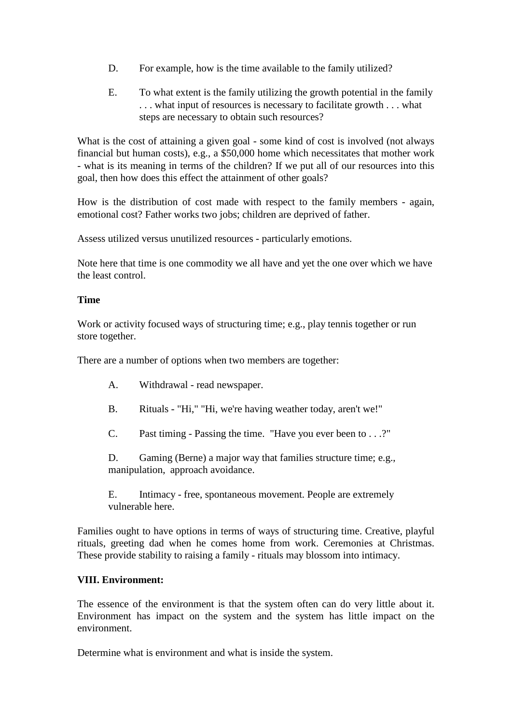- D. For example, how is the time available to the family utilized?
- E. To what extent is the family utilizing the growth potential in the family . . . what input of resources is necessary to facilitate growth . . . what steps are necessary to obtain such resources?

What is the cost of attaining a given goal - some kind of cost is involved (not always financial but human costs), e.g., a \$50,000 home which necessitates that mother work - what is its meaning in terms of the children? If we put all of our resources into this goal, then how does this effect the attainment of other goals?

How is the distribution of cost made with respect to the family members - again, emotional cost? Father works two jobs; children are deprived of father.

Assess utilized versus unutilized resources - particularly emotions.

Note here that time is one commodity we all have and yet the one over which we have the least control.

#### **Time**

Work or activity focused ways of structuring time; e.g., play tennis together or run store together.

There are a number of options when two members are together:

- A. Withdrawal read newspaper.
- B. Rituals "Hi," "Hi, we're having weather today, aren't we!"
- C. Past timing Passing the time. "Have you ever been to . . .?"

D. Gaming (Berne) a major way that families structure time; e.g., manipulation, approach avoidance.

E. Intimacy - free, spontaneous movement. People are extremely vulnerable here.

Families ought to have options in terms of ways of structuring time. Creative, playful rituals, greeting dad when he comes home from work. Ceremonies at Christmas. These provide stability to raising a family - rituals may blossom into intimacy.

#### **VIII. Environment:**

The essence of the environment is that the system often can do very little about it. Environment has impact on the system and the system has little impact on the environment.

Determine what is environment and what is inside the system.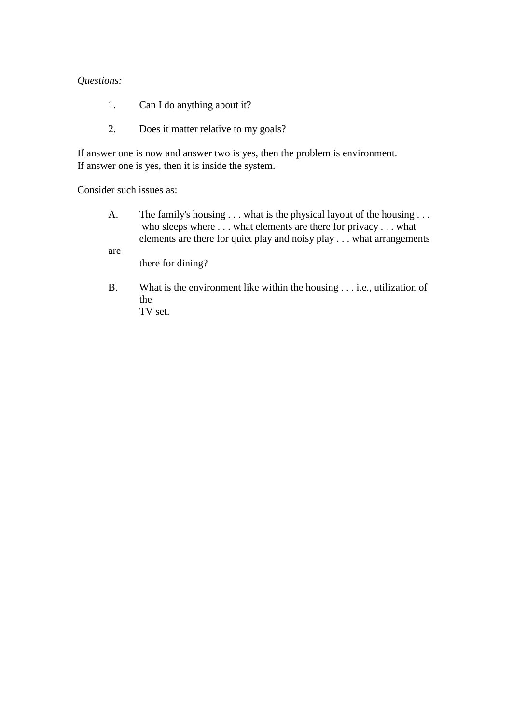#### *Questions:*

- 1. Can I do anything about it?
- 2. Does it matter relative to my goals?

If answer one is now and answer two is yes, then the problem is environment. If answer one is yes, then it is inside the system.

Consider such issues as:

A. The family's housing . . . what is the physical layout of the housing . . . who sleeps where . . . what elements are there for privacy . . . what elements are there for quiet play and noisy play . . . what arrangements

are

there for dining?

B. What is the environment like within the housing . . . i.e., utilization of the TV set.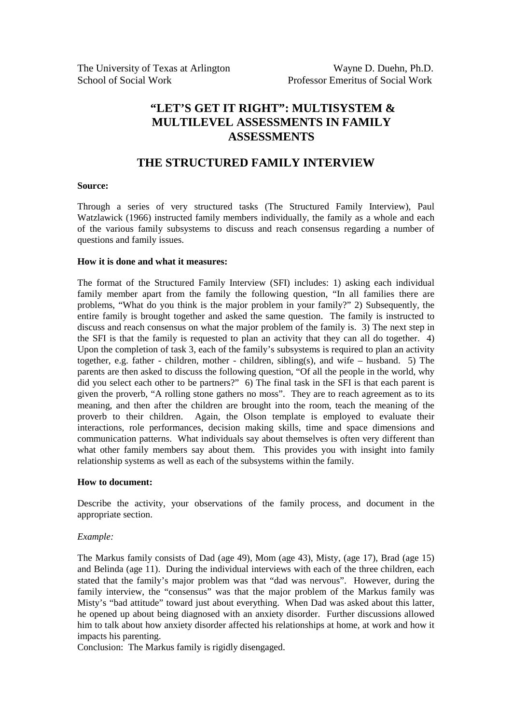# **THE STRUCTURED FAMILY INTERVIEW**

#### **Source:**

Through a series of very structured tasks (The Structured Family Interview), Paul Watzlawick (1966) instructed family members individually, the family as a whole and each of the various family subsystems to discuss and reach consensus regarding a number of questions and family issues.

#### **How it is done and what it measures:**

The format of the Structured Family Interview (SFI) includes: 1) asking each individual family member apart from the family the following question, "In all families there are problems, "What do you think is the major problem in your family?" 2) Subsequently, the entire family is brought together and asked the same question. The family is instructed to discuss and reach consensus on what the major problem of the family is. 3) The next step in the SFI is that the family is requested to plan an activity that they can all do together. 4) Upon the completion of task 3, each of the family's subsystems is required to plan an activity together, e.g. father - children, mother - children, sibling(s), and wife – husband. 5) The parents are then asked to discuss the following question, "Of all the people in the world, why did you select each other to be partners?" 6) The final task in the SFI is that each parent is given the proverb, "A rolling stone gathers no moss". They are to reach agreement as to its meaning, and then after the children are brought into the room, teach the meaning of the proverb to their children. Again, the Olson template is employed to evaluate their interactions, role performances, decision making skills, time and space dimensions and communication patterns. What individuals say about themselves is often very different than what other family members say about them. This provides you with insight into family relationship systems as well as each of the subsystems within the family.

#### **How to document:**

Describe the activity, your observations of the family process, and document in the appropriate section.

#### *Example:*

The Markus family consists of Dad (age 49), Mom (age 43), Misty, (age 17), Brad (age 15) and Belinda (age 11). During the individual interviews with each of the three children, each stated that the family's major problem was that "dad was nervous". However, during the family interview, the "consensus" was that the major problem of the Markus family was Misty's "bad attitude" toward just about everything. When Dad was asked about this latter, he opened up about being diagnosed with an anxiety disorder. Further discussions allowed him to talk about how anxiety disorder affected his relationships at home, at work and how it impacts his parenting.

Conclusion: The Markus family is rigidly disengaged.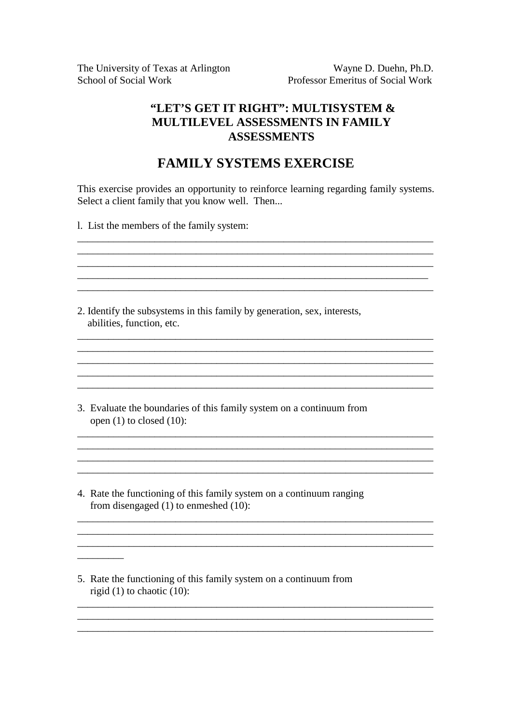The University of Texas at Arlington Wayne D. Duehn, Ph.D. School of Social Work Professor Emeritus of Social Work

# **"LET'S GET IT RIGHT": MULTISYSTEM & MULTILEVEL ASSESSMENTS IN FAMILY ASSESSMENTS**

# **FAMILY SYSTEMS EXERCISE**

This exercise provides an opportunity to reinforce learning regarding family systems. Select a client family that you know well. Then...

 $\mathcal{L}_\text{max} = \mathcal{L}_\text{max} = \mathcal{L}_\text{max} = \mathcal{L}_\text{max} = \mathcal{L}_\text{max} = \mathcal{L}_\text{max} = \mathcal{L}_\text{max} = \mathcal{L}_\text{max} = \mathcal{L}_\text{max} = \mathcal{L}_\text{max} = \mathcal{L}_\text{max} = \mathcal{L}_\text{max} = \mathcal{L}_\text{max} = \mathcal{L}_\text{max} = \mathcal{L}_\text{max} = \mathcal{L}_\text{max} = \mathcal{L}_\text{max} = \mathcal{L}_\text{max} = \mathcal{$ \_\_\_\_\_\_\_\_\_\_\_\_\_\_\_\_\_\_\_\_\_\_\_\_\_\_\_\_\_\_\_\_\_\_\_\_\_\_\_\_\_\_\_\_\_\_\_\_\_\_\_\_\_\_\_\_\_\_\_\_\_\_\_\_\_\_\_\_

\_\_\_\_\_\_\_\_\_\_\_\_\_\_\_\_\_\_\_\_\_\_\_\_\_\_\_\_\_\_\_\_\_\_\_\_\_\_\_\_\_\_\_\_\_\_\_\_\_\_\_\_\_\_\_\_\_\_\_\_\_\_\_\_\_\_\_\_\_ \_\_\_\_\_\_\_\_\_\_\_\_\_\_\_\_\_\_\_\_\_\_\_\_\_\_\_\_\_\_\_\_\_\_\_\_\_\_\_\_\_\_\_\_\_\_\_\_\_\_\_\_\_\_\_\_\_\_\_\_\_\_\_\_\_\_\_\_\_  $\overline{a}$  ,  $\overline{a}$  ,  $\overline{a}$  ,  $\overline{a}$  ,  $\overline{a}$  ,  $\overline{a}$  ,  $\overline{a}$  ,  $\overline{a}$  ,  $\overline{a}$  ,  $\overline{a}$  ,  $\overline{a}$  ,  $\overline{a}$  ,  $\overline{a}$  ,  $\overline{a}$  ,  $\overline{a}$  ,  $\overline{a}$  ,  $\overline{a}$  ,  $\overline{a}$  ,  $\overline{a}$  ,  $\overline{a}$  ,

 $\mathcal{L}_\text{max}$  $\overline{\phantom{a}}$  , and the contribution of the contribution of the contribution of the contribution of the contribution of the contribution of the contribution of the contribution of the contribution of the contribution of the

\_\_\_\_\_\_\_\_\_\_\_\_\_\_\_\_\_\_\_\_\_\_\_\_\_\_\_\_\_\_\_\_\_\_\_\_\_\_\_\_\_\_\_\_\_\_\_\_\_\_\_\_\_\_\_\_\_\_\_\_\_\_\_\_\_\_\_\_\_

 $\mathcal{L}_\text{max} = \mathcal{L}_\text{max} = \mathcal{L}_\text{max} = \mathcal{L}_\text{max} = \mathcal{L}_\text{max} = \mathcal{L}_\text{max} = \mathcal{L}_\text{max} = \mathcal{L}_\text{max} = \mathcal{L}_\text{max} = \mathcal{L}_\text{max} = \mathcal{L}_\text{max} = \mathcal{L}_\text{max} = \mathcal{L}_\text{max} = \mathcal{L}_\text{max} = \mathcal{L}_\text{max} = \mathcal{L}_\text{max} = \mathcal{L}_\text{max} = \mathcal{L}_\text{max} = \mathcal{$ 

\_\_\_\_\_\_\_\_\_\_\_\_\_\_\_\_\_\_\_\_\_\_\_\_\_\_\_\_\_\_\_\_\_\_\_\_\_\_\_\_\_\_\_\_\_\_\_\_\_\_\_\_\_\_\_\_\_\_\_\_\_\_\_\_\_\_\_\_\_ \_\_\_\_\_\_\_\_\_\_\_\_\_\_\_\_\_\_\_\_\_\_\_\_\_\_\_\_\_\_\_\_\_\_\_\_\_\_\_\_\_\_\_\_\_\_\_\_\_\_\_\_\_\_\_\_\_\_\_\_\_\_\_\_\_\_\_\_\_ \_\_\_\_\_\_\_\_\_\_\_\_\_\_\_\_\_\_\_\_\_\_\_\_\_\_\_\_\_\_\_\_\_\_\_\_\_\_\_\_\_\_\_\_\_\_\_\_\_\_\_\_\_\_\_\_\_\_\_\_\_\_\_\_\_\_\_\_\_

 $\mathcal{L}_\text{max} = \mathcal{L}_\text{max} = \mathcal{L}_\text{max} = \mathcal{L}_\text{max} = \mathcal{L}_\text{max}$ 

l. List the members of the family system:

2. Identify the subsystems in this family by generation, sex, interests, abilities, function, etc.

3. Evaluate the boundaries of this family system on a continuum from open (1) to closed (10):

4. Rate the functioning of this family system on a continuum ranging from disengaged (1) to enmeshed (10):

5. Rate the functioning of this family system on a continuum from rigid  $(1)$  to chaotic  $(10)$ :

 $\mathcal{L}=\mathcal{L}$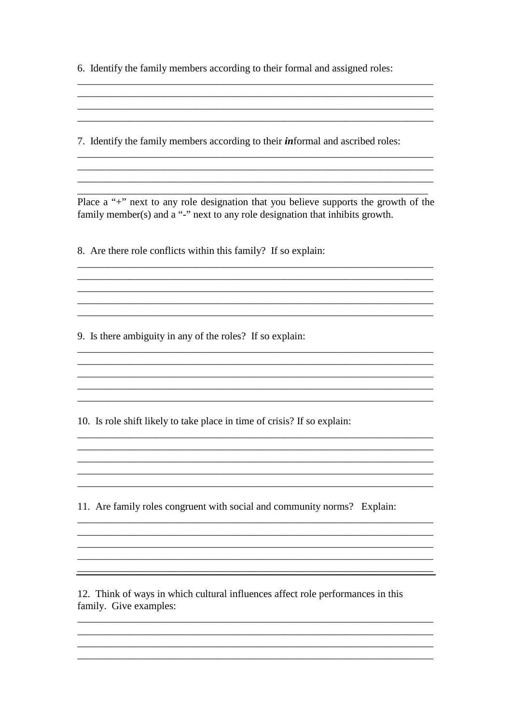6. Identify the family members according to their formal and assigned roles:

7. Identify the family members according to their *informal* and ascribed roles:

Place a "+" next to any role designation that you believe supports the growth of the family member(s) and a "-" next to any role designation that inhibits growth.

and the control of the control of the control of the control of the control of the control of the control of the and the control of the control of the control of the control of the control of the control of the control of the

and the control of the control of the control of the control of the control of the control of the control of the

8. Are there role conflicts within this family? If so explain:

9. Is there ambiguity in any of the roles? If so explain:

10. Is role shift likely to take place in time of crisis? If so explain:

11. Are family roles congruent with social and community norms? Explain:

12. Think of ways in which cultural influences affect role performances in this family. Give examples: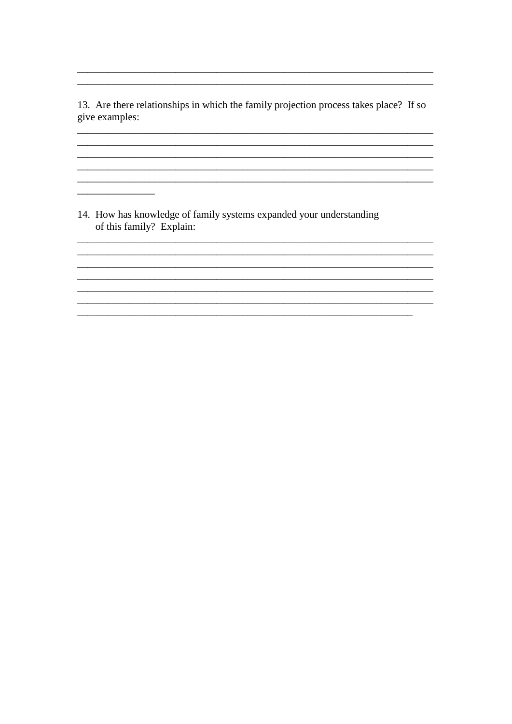13. Are there relationships in which the family projection process takes place? If so give examples:

and the control of the control of the control of the control of the control of the control of the control of the

14. How has knowledge of family systems expanded your understanding of this family? Explain:

<u>and the state of the sta</u>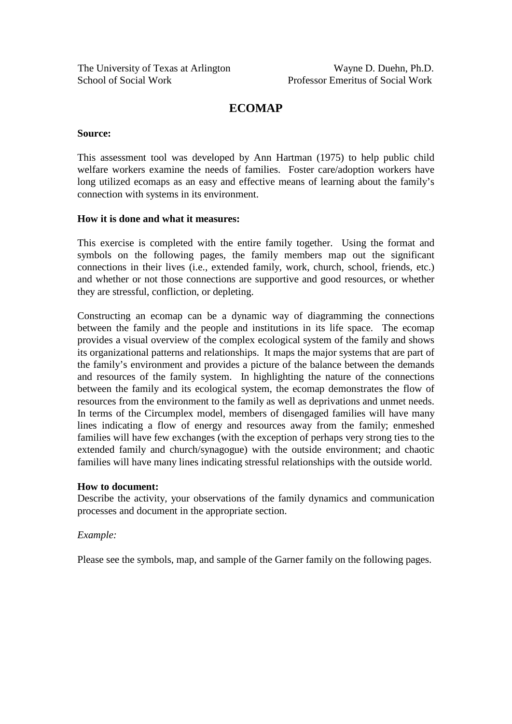# **ECOMAP**

#### **Source:**

This assessment tool was developed by Ann Hartman (1975) to help public child welfare workers examine the needs of families. Foster care/adoption workers have long utilized ecomaps as an easy and effective means of learning about the family's connection with systems in its environment.

#### **How it is done and what it measures:**

This exercise is completed with the entire family together. Using the format and symbols on the following pages, the family members map out the significant connections in their lives (i.e., extended family, work, church, school, friends, etc.) and whether or not those connections are supportive and good resources, or whether they are stressful, confliction, or depleting.

Constructing an ecomap can be a dynamic way of diagramming the connections between the family and the people and institutions in its life space. The ecomap provides a visual overview of the complex ecological system of the family and shows its organizational patterns and relationships. It maps the major systems that are part of the family's environment and provides a picture of the balance between the demands and resources of the family system. In highlighting the nature of the connections between the family and its ecological system, the ecomap demonstrates the flow of resources from the environment to the family as well as deprivations and unmet needs. In terms of the Circumplex model, members of disengaged families will have many lines indicating a flow of energy and resources away from the family; enmeshed families will have few exchanges (with the exception of perhaps very strong ties to the extended family and church/synagogue) with the outside environment; and chaotic families will have many lines indicating stressful relationships with the outside world.

#### **How to document:**

Describe the activity, your observations of the family dynamics and communication processes and document in the appropriate section.

#### *Example:*

Please see the symbols, map, and sample of the Garner family on the following pages.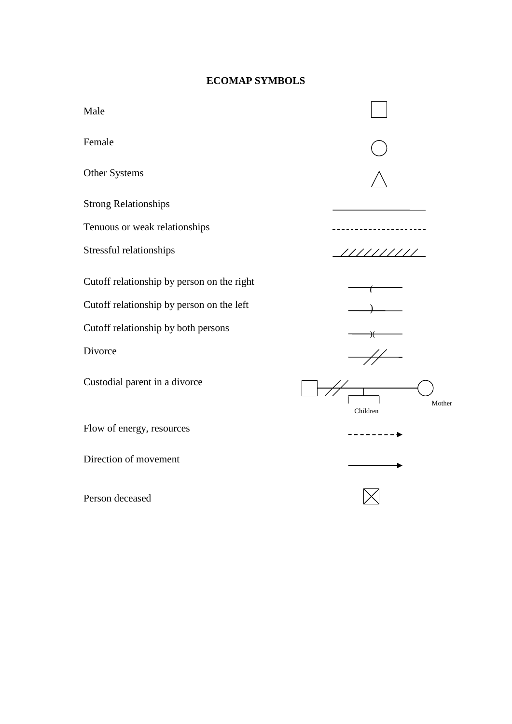# **ECOMAP SYMBOLS**

| Male                                       |                    |
|--------------------------------------------|--------------------|
| Female                                     |                    |
| Other Systems                              |                    |
| <b>Strong Relationships</b>                |                    |
| Tenuous or weak relationships              |                    |
| Stressful relationships                    | /////////          |
| Cutoff relationship by person on the right |                    |
| Cutoff relationship by person on the left  |                    |
| Cutoff relationship by both persons        | ₩                  |
| Divorce                                    |                    |
| Custodial parent in a divorce              | Mother<br>Children |
| Flow of energy, resources                  |                    |
| Direction of movement                      |                    |
| Person deceased                            |                    |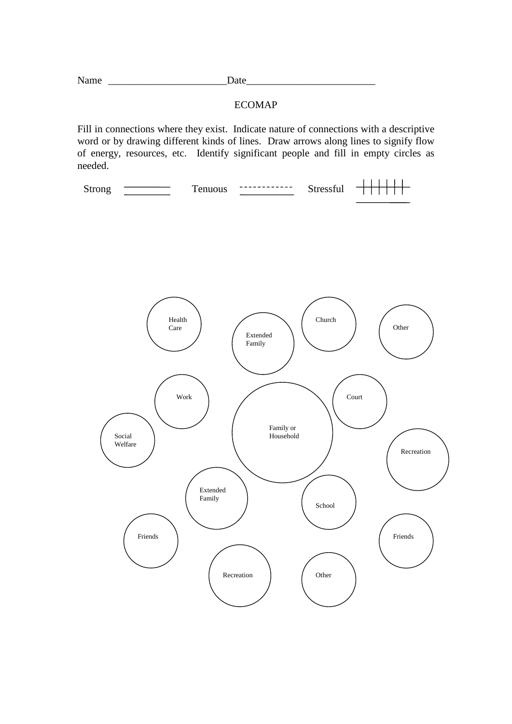| N.<br>Tiame |  |
|-------------|--|
|-------------|--|

#### ECOMAP

Fill in connections where they exist. Indicate nature of connections with a descriptive word or by drawing different kinds of lines. Draw arrows along lines to signify flow of energy, resources, etc. Identify significant people and fill in empty circles as needed.

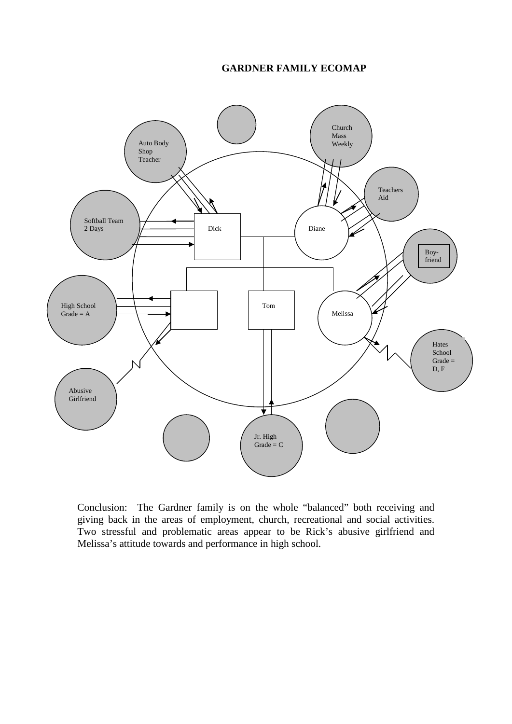#### **GARDNER FAMILY ECOMAP**



Conclusion: The Gardner family is on the whole "balanced" both receiving and giving back in the areas of employment, church, recreational and social activities. Two stressful and problematic areas appear to be Rick's abusive girlfriend and Melissa's attitude towards and performance in high school.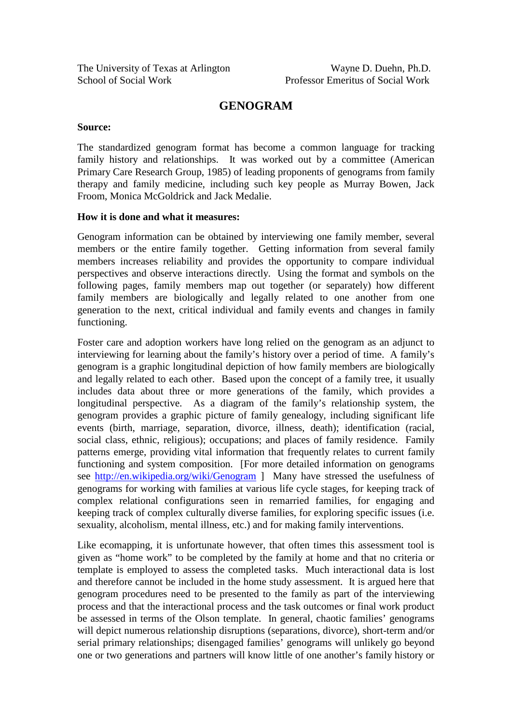# **GENOGRAM**

#### **Source:**

The standardized genogram format has become a common language for tracking family history and relationships. It was worked out by a committee (American Primary Care Research Group, 1985) of leading proponents of genograms from family therapy and family medicine, including such key people as Murray Bowen, Jack Froom, Monica McGoldrick and Jack Medalie.

#### **How it is done and what it measures:**

Genogram information can be obtained by interviewing one family member, several members or the entire family together. Getting information from several family members increases reliability and provides the opportunity to compare individual perspectives and observe interactions directly. Using the format and symbols on the following pages, family members map out together (or separately) how different family members are biologically and legally related to one another from one generation to the next, critical individual and family events and changes in family functioning.

Foster care and adoption workers have long relied on the genogram as an adjunct to interviewing for learning about the family's history over a period of time. A family's genogram is a graphic longitudinal depiction of how family members are biologically and legally related to each other. Based upon the concept of a family tree, it usually includes data about three or more generations of the family, which provides a longitudinal perspective. As a diagram of the family's relationship system, the genogram provides a graphic picture of family genealogy, including significant life events (birth, marriage, separation, divorce, illness, death); identification (racial, social class, ethnic, religious); occupations; and places of family residence. Family patterns emerge, providing vital information that frequently relates to current family functioning and system composition. [For more detailed information on genograms see<http://en.wikipedia.org/wiki/Genogram> ] Many have stressed the usefulness of genograms for working with families at various life cycle stages, for keeping track of complex relational configurations seen in remarried families, for engaging and keeping track of complex culturally diverse families, for exploring specific issues (i.e. sexuality, alcoholism, mental illness, etc.) and for making family interventions.

Like ecomapping, it is unfortunate however, that often times this assessment tool is given as "home work" to be completed by the family at home and that no criteria or template is employed to assess the completed tasks. Much interactional data is lost and therefore cannot be included in the home study assessment. It is argued here that genogram procedures need to be presented to the family as part of the interviewing process and that the interactional process and the task outcomes or final work product be assessed in terms of the Olson template. In general, chaotic families' genograms will depict numerous relationship disruptions (separations, divorce), short-term and/or serial primary relationships; disengaged families' genograms will unlikely go beyond one or two generations and partners will know little of one another's family history or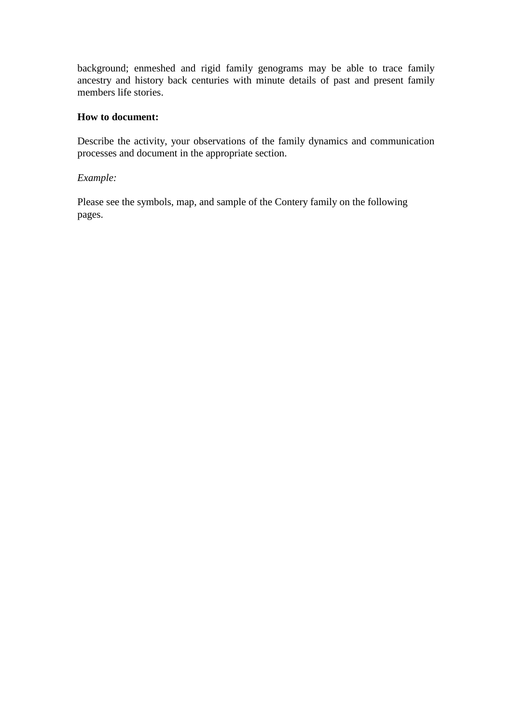background; enmeshed and rigid family genograms may be able to trace family ancestry and history back centuries with minute details of past and present family members life stories.

#### **How to document:**

Describe the activity, your observations of the family dynamics and communication processes and document in the appropriate section.

# *Example:*

Please see the symbols, map, and sample of the Contery family on the following pages.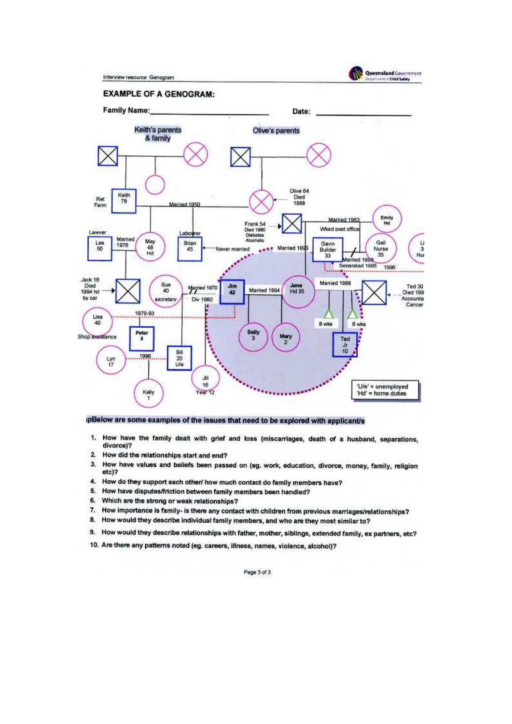Interview resource: Genogram



#### **EXAMPLE OF A GENOGRAM:**



#### pBelow are some examples of the issues that need to be explored with applicant/s

- 1. How have the family dealt with grief and loss (miscarriages, death of a husband, separations, divorce)?
- How did the relationships start and end?  $\overline{2}$
- $3.$ How have values and beliefs been passed on (eg. work, education, divorce, money, family, religion etc)?
- 4. How do they support each other/ how much contact do family members have?
- 5. How have disputes/friction between family members been handled?
- 6. Which are the strong or weak relationships?
- 7. How importance is family- is there any contact with children from previous marriages/relationships?
- 8. How would they describe individual family members, and who are they most similar to?
- 9. How would they describe relationships with father, mother, siblings, extended family, ex partners, etc?
- 10. Are there any patterns noted (eg. careers, illness, names, violence, alcohol)?

Page 3 of 3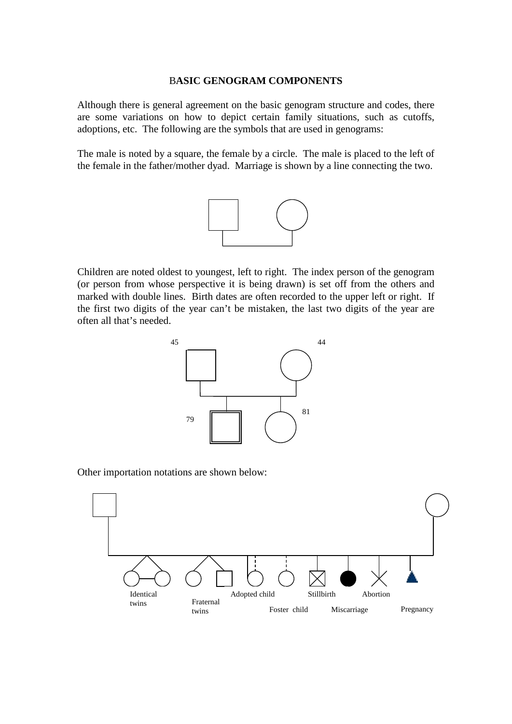#### B**ASIC GENOGRAM COMPONENTS**

Although there is general agreement on the basic genogram structure and codes, there are some variations on how to depict certain family situations, such as cutoffs, adoptions, etc. The following are the symbols that are used in genograms:

The male is noted by a square, the female by a circle. The male is placed to the left of the female in the father/mother dyad. Marriage is shown by a line connecting the two.



Children are noted oldest to youngest, left to right. The index person of the genogram (or person from whose perspective it is being drawn) is set off from the others and marked with double lines. Birth dates are often recorded to the upper left or right. If the first two digits of the year can't be mistaken, the last two digits of the year are often all that's needed.



Other importation notations are shown below:

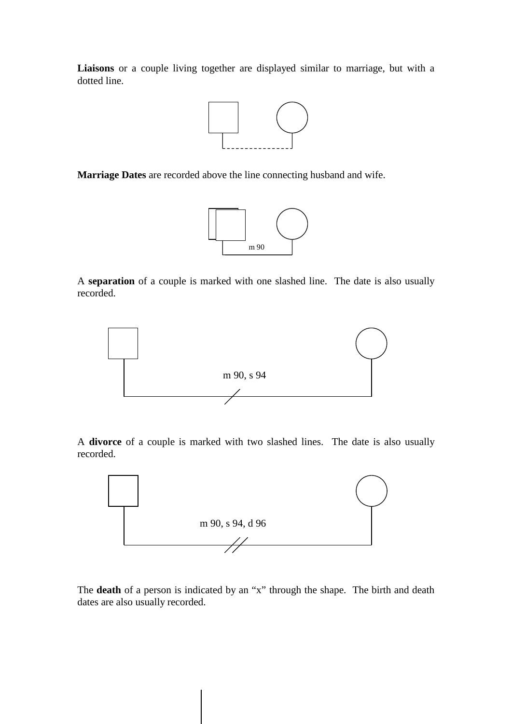**Liaisons** or a couple living together are displayed similar to marriage, but with a dotted line.



**Marriage Dates** are recorded above the line connecting husband and wife.



A **separation** of a couple is marked with one slashed line. The date is also usually recorded.



A **divorce** of a couple is marked with two slashed lines. The date is also usually recorded.



The **death** of a person is indicated by an "x" through the shape. The birth and death dates are also usually recorded.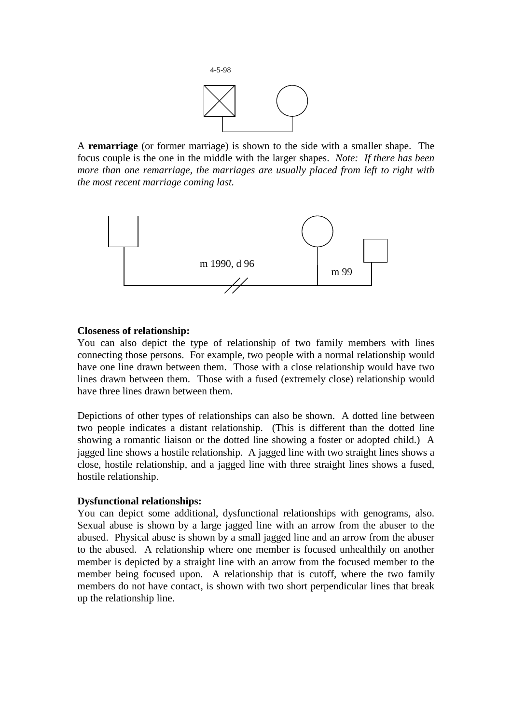

A **remarriage** (or former marriage) is shown to the side with a smaller shape. The focus couple is the one in the middle with the larger shapes. *Note: If there has been more than one remarriage, the marriages are usually placed from left to right with the most recent marriage coming last.* 



#### **Closeness of relationship:**

You can also depict the type of relationship of two family members with lines connecting those persons. For example, two people with a normal relationship would have one line drawn between them. Those with a close relationship would have two lines drawn between them. Those with a fused (extremely close) relationship would have three lines drawn between them.

Depictions of other types of relationships can also be shown. A dotted line between two people indicates a distant relationship. (This is different than the dotted line showing a romantic liaison or the dotted line showing a foster or adopted child.) A jagged line shows a hostile relationship. A jagged line with two straight lines shows a close, hostile relationship, and a jagged line with three straight lines shows a fused, hostile relationship.

#### **Dysfunctional relationships:**

You can depict some additional, dysfunctional relationships with genograms, also. Sexual abuse is shown by a large jagged line with an arrow from the abuser to the abused. Physical abuse is shown by a small jagged line and an arrow from the abuser to the abused. A relationship where one member is focused unhealthily on another member is depicted by a straight line with an arrow from the focused member to the member being focused upon. A relationship that is cutoff, where the two family members do not have contact, is shown with two short perpendicular lines that break up the relationship line.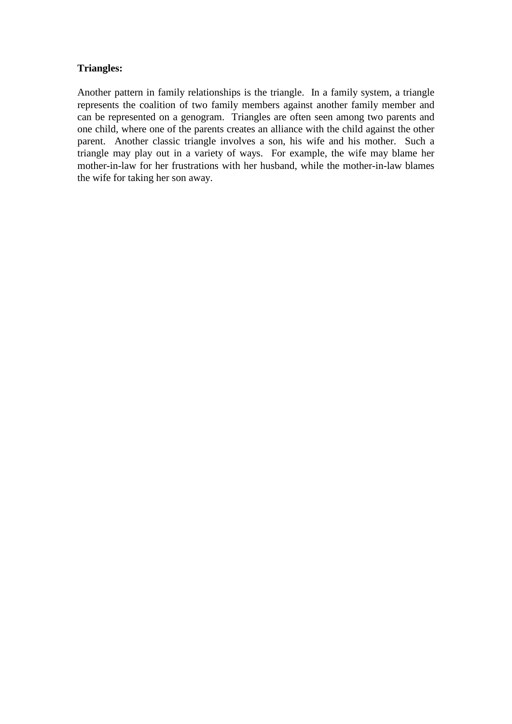# **Triangles:**

Another pattern in family relationships is the triangle. In a family system, a triangle represents the coalition of two family members against another family member and can be represented on a genogram. Triangles are often seen among two parents and one child, where one of the parents creates an alliance with the child against the other parent. Another classic triangle involves a son, his wife and his mother. Such a triangle may play out in a variety of ways. For example, the wife may blame her mother-in-law for her frustrations with her husband, while the mother-in-law blames the wife for taking her son away.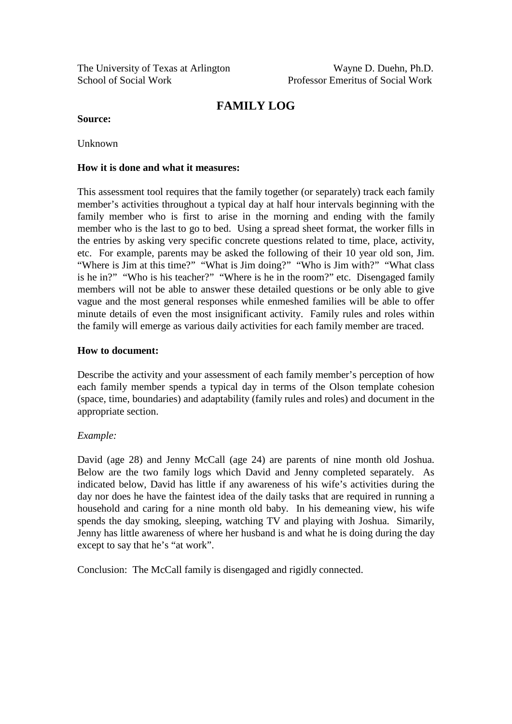The University of Texas at Arlington Wayne D. Duehn, Ph.D. School of Social Work Professor Emeritus of Social Work

# **FAMILY LOG**

#### **Source:**

Unknown

#### **How it is done and what it measures:**

This assessment tool requires that the family together (or separately) track each family member's activities throughout a typical day at half hour intervals beginning with the family member who is first to arise in the morning and ending with the family member who is the last to go to bed. Using a spread sheet format, the worker fills in the entries by asking very specific concrete questions related to time, place, activity, etc. For example, parents may be asked the following of their 10 year old son, Jim. "Where is Jim at this time?" "What is Jim doing?" "Who is Jim with?" "What class is he in?" "Who is his teacher?" "Where is he in the room?" etc. Disengaged family members will not be able to answer these detailed questions or be only able to give vague and the most general responses while enmeshed families will be able to offer minute details of even the most insignificant activity. Family rules and roles within the family will emerge as various daily activities for each family member are traced.

#### **How to document:**

Describe the activity and your assessment of each family member's perception of how each family member spends a typical day in terms of the Olson template cohesion (space, time, boundaries) and adaptability (family rules and roles) and document in the appropriate section.

#### *Example:*

David (age 28) and Jenny McCall (age 24) are parents of nine month old Joshua. Below are the two family logs which David and Jenny completed separately. As indicated below, David has little if any awareness of his wife's activities during the day nor does he have the faintest idea of the daily tasks that are required in running a household and caring for a nine month old baby. In his demeaning view, his wife spends the day smoking, sleeping, watching TV and playing with Joshua. Simarily, Jenny has little awareness of where her husband is and what he is doing during the day except to say that he's "at work".

Conclusion: The McCall family is disengaged and rigidly connected.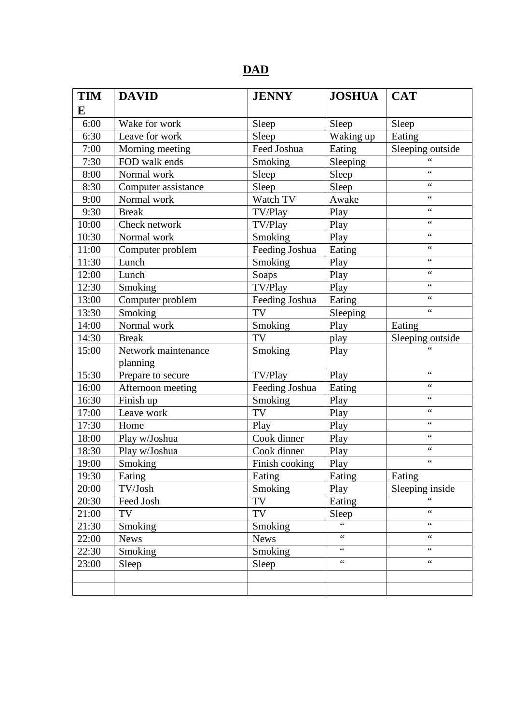# **DAD**

| <b>TIM</b> | <b>DAVID</b>        | <b>JENNY</b>   | <b>JOSHUA</b>   | <b>CAT</b>       |
|------------|---------------------|----------------|-----------------|------------------|
| E          |                     |                |                 |                  |
| 6:00       | Wake for work       | Sleep          | Sleep           | Sleep            |
| 6:30       | Leave for work      | Sleep          | Waking up       | Eating           |
| 7:00       | Morning meeting     | Feed Joshua    | Eating          | Sleeping outside |
| 7:30       | FOD walk ends       | Smoking        | Sleeping        | 66               |
| 8:00       | Normal work         | Sleep          | Sleep           | $\epsilon$       |
| 8:30       | Computer assistance | Sleep          | Sleep           | $\zeta$ $\zeta$  |
| 9:00       | Normal work         | Watch TV       | Awake           | $\zeta$ $\zeta$  |
| 9:30       | <b>Break</b>        | TV/Play        | Play            | $\epsilon$       |
| 10:00      | Check network       | TV/Play        | Play            | $\zeta$ $\zeta$  |
| 10:30      | Normal work         | Smoking        | Play            | $\epsilon$       |
| 11:00      | Computer problem    | Feeding Joshua | Eating          | $\zeta$ $\zeta$  |
| 11:30      | Lunch               | Smoking        | Play            | $\epsilon$       |
| 12:00      | Lunch               | Soaps          | Play            | $\zeta$ $\zeta$  |
| 12:30      | Smoking             | TV/Play        | Play            | $\zeta$ $\zeta$  |
| 13:00      | Computer problem    | Feeding Joshua | Eating          | $\zeta$ $\zeta$  |
| 13:30      | Smoking             | <b>TV</b>      | Sleeping        | $\zeta$ $\zeta$  |
| 14:00      | Normal work         | Smoking        | Play            | Eating           |
| 14:30      | <b>Break</b>        | TV             | play            | Sleeping outside |
| 15:00      | Network maintenance | Smoking        | Play            |                  |
|            | planning            |                |                 |                  |
| 15:30      | Prepare to secure   | TV/Play        | Play            | $\zeta$ $\zeta$  |
| 16:00      | Afternoon meeting   | Feeding Joshua | Eating          | $\epsilon$       |
| 16:30      | Finish up           | Smoking        | Play            | $\zeta$ $\zeta$  |
| 17:00      | Leave work          | TV             | Play            | $\epsilon$       |
| 17:30      | Home                | Play           | Play            | $\zeta$ $\zeta$  |
| 18:00      | Play w/Joshua       | Cook dinner    | Play            | $\epsilon$       |
| 18:30      | Play w/Joshua       | Cook dinner    | Play            | $\zeta$ $\zeta$  |
| 19:00      | Smoking             | Finish cooking | Play            | $\epsilon$       |
| 19:30      | Eating              | Eating         | Eating          | Eating           |
| 20:00      | TV/Josh             | Smoking        | Play            | Sleeping inside  |
| 20:30      | Feed Josh           | TV             | Eating          | $\epsilon$       |
| 21:00      | TV                  | TV             | Sleep           | $\zeta$ $\zeta$  |
| 21:30      | Smoking             | Smoking        | $\epsilon$      | $\zeta$ $\zeta$  |
| 22:00      | <b>News</b>         | <b>News</b>    | $\zeta$ $\zeta$ | $\zeta$ $\zeta$  |
| 22:30      | Smoking             | Smoking        | $\zeta$ $\zeta$ | $\epsilon$       |
| 23:00      | Sleep               | Sleep          | $\zeta$ $\zeta$ | $\zeta$ $\zeta$  |
|            |                     |                |                 |                  |
|            |                     |                |                 |                  |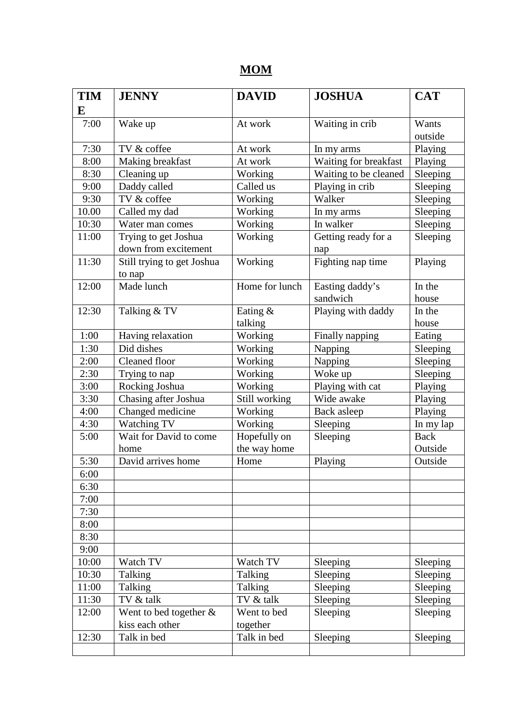# **MOM**

| <b>TIM</b> | <b>JENNY</b>               | <b>DAVID</b>   | <b>JOSHUA</b>         |             |
|------------|----------------------------|----------------|-----------------------|-------------|
| E          |                            |                |                       |             |
| 7:00       | Wake up                    | At work        | Waiting in crib       | Wants       |
|            |                            |                |                       | outside     |
| 7:30       | TV & coffee                | At work        | In my arms            | Playing     |
| 8:00       | Making breakfast           | At work        | Waiting for breakfast | Playing     |
| 8:30       | Cleaning up                | Working        | Waiting to be cleaned | Sleeping    |
| 9:00       | Daddy called               | Called us      | Playing in crib       | Sleeping    |
| 9:30       | TV & coffee                | Working        | Walker                | Sleeping    |
| 10.00      | Called my dad              | Working        | In my arms            | Sleeping    |
| 10:30      | Water man comes            | Working        | In walker             | Sleeping    |
| 11:00      | Trying to get Joshua       | Working        | Getting ready for a   | Sleeping    |
|            | down from excitement       |                | nap                   |             |
| 11:30      | Still trying to get Joshua | Working        | Fighting nap time     | Playing     |
|            | to nap                     |                |                       |             |
| 12:00      | Made lunch                 | Home for lunch | Easting daddy's       | In the      |
|            |                            |                | sandwich              | house       |
| 12:30      | Talking & TV               | Eating &       | Playing with daddy    | In the      |
|            |                            | talking        |                       | house       |
| 1:00       | Having relaxation          | Working        | Finally napping       | Eating      |
| 1:30       | Did dishes                 | Working        | Napping               | Sleeping    |
| 2:00       | Cleaned floor              | Working        | Napping               | Sleeping    |
| 2:30       | Trying to nap              | Working        | Woke up               | Sleeping    |
| 3:00       | Rocking Joshua             | Working        | Playing with cat      | Playing     |
| 3:30       | Chasing after Joshua       | Still working  | Wide awake            | Playing     |
| 4:00       | Changed medicine           | Working        | Back asleep           | Playing     |
| 4:30       | Watching TV                | Working        | Sleeping              | In my lap   |
| 5:00       | Wait for David to come     | Hopefully on   | Sleeping              | <b>Back</b> |
|            | home                       | the way home   |                       | Outside     |
| 5:30       | David arrives home         | Home           | Playing               | Outside     |
| 6:00       |                            |                |                       |             |
| 6:30       |                            |                |                       |             |
| 7:00       |                            |                |                       |             |
| 7:30       |                            |                |                       |             |
| 8:00       |                            |                |                       |             |
| 8:30       |                            |                |                       |             |
| 9:00       |                            |                |                       |             |
| 10:00      | Watch TV                   | Watch TV       | Sleeping              | Sleeping    |
| 10:30      | Talking                    | Talking        | Sleeping              | Sleeping    |
| 11:00      | Talking                    | Talking        | Sleeping              | Sleeping    |
| 11:30      | TV & talk                  | TV & talk      | Sleeping              | Sleeping    |
| 12:00      | Went to bed together $\&$  | Went to bed    | Sleeping              | Sleeping    |
|            | kiss each other            | together       |                       |             |
| 12:30      | Talk in bed                | Talk in bed    | Sleeping              | Sleeping    |
|            |                            |                |                       |             |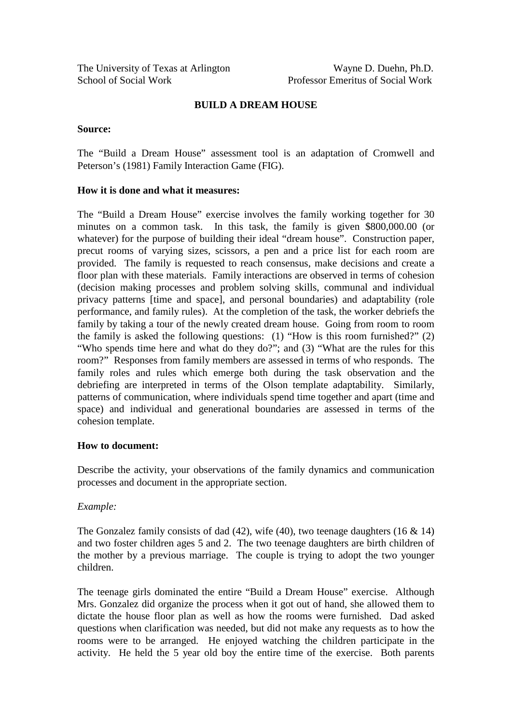### **BUILD A DREAM HOUSE**

#### **Source:**

The "Build a Dream House" assessment tool is an adaptation of Cromwell and Peterson's (1981) Family Interaction Game (FIG).

#### **How it is done and what it measures:**

The "Build a Dream House" exercise involves the family working together for 30 minutes on a common task. In this task, the family is given \$800,000.00 (or whatever) for the purpose of building their ideal "dream house". Construction paper, precut rooms of varying sizes, scissors, a pen and a price list for each room are provided. The family is requested to reach consensus, make decisions and create a floor plan with these materials. Family interactions are observed in terms of cohesion (decision making processes and problem solving skills, communal and individual privacy patterns [time and space], and personal boundaries) and adaptability (role performance, and family rules). At the completion of the task, the worker debriefs the family by taking a tour of the newly created dream house. Going from room to room the family is asked the following questions: (1) "How is this room furnished?" (2) "Who spends time here and what do they do?"; and (3) "What are the rules for this room?" Responses from family members are assessed in terms of who responds. The family roles and rules which emerge both during the task observation and the debriefing are interpreted in terms of the Olson template adaptability. Similarly, patterns of communication, where individuals spend time together and apart (time and space) and individual and generational boundaries are assessed in terms of the cohesion template.

#### **How to document:**

Describe the activity, your observations of the family dynamics and communication processes and document in the appropriate section.

#### *Example:*

The Gonzalez family consists of dad  $(42)$ , wife  $(40)$ , two teenage daughters  $(16 \& 14)$ and two foster children ages 5 and 2. The two teenage daughters are birth children of the mother by a previous marriage. The couple is trying to adopt the two younger children.

The teenage girls dominated the entire "Build a Dream House" exercise. Although Mrs. Gonzalez did organize the process when it got out of hand, she allowed them to dictate the house floor plan as well as how the rooms were furnished. Dad asked questions when clarification was needed, but did not make any requests as to how the rooms were to be arranged. He enjoyed watching the children participate in the activity. He held the 5 year old boy the entire time of the exercise. Both parents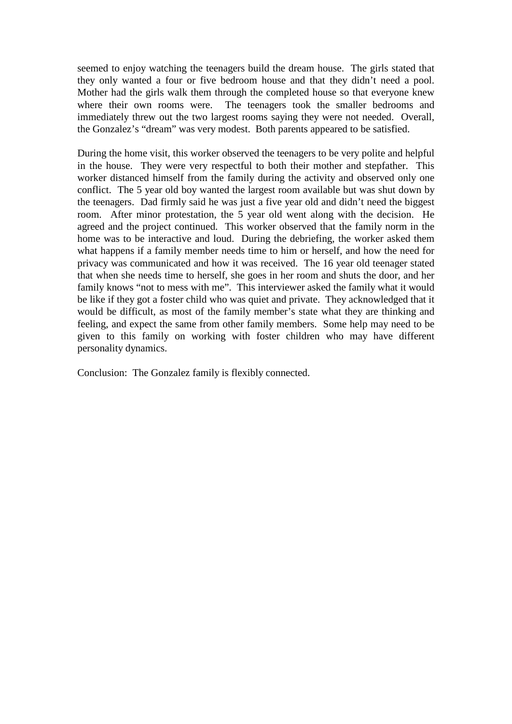seemed to enjoy watching the teenagers build the dream house. The girls stated that they only wanted a four or five bedroom house and that they didn't need a pool. Mother had the girls walk them through the completed house so that everyone knew where their own rooms were. The teenagers took the smaller bedrooms and immediately threw out the two largest rooms saying they were not needed. Overall, the Gonzalez's "dream" was very modest. Both parents appeared to be satisfied.

During the home visit, this worker observed the teenagers to be very polite and helpful in the house. They were very respectful to both their mother and stepfather. This worker distanced himself from the family during the activity and observed only one conflict. The 5 year old boy wanted the largest room available but was shut down by the teenagers. Dad firmly said he was just a five year old and didn't need the biggest room. After minor protestation, the 5 year old went along with the decision. He agreed and the project continued. This worker observed that the family norm in the home was to be interactive and loud. During the debriefing, the worker asked them what happens if a family member needs time to him or herself, and how the need for privacy was communicated and how it was received. The 16 year old teenager stated that when she needs time to herself, she goes in her room and shuts the door, and her family knows "not to mess with me". This interviewer asked the family what it would be like if they got a foster child who was quiet and private. They acknowledged that it would be difficult, as most of the family member's state what they are thinking and feeling, and expect the same from other family members. Some help may need to be given to this family on working with foster children who may have different personality dynamics.

Conclusion: The Gonzalez family is flexibly connected.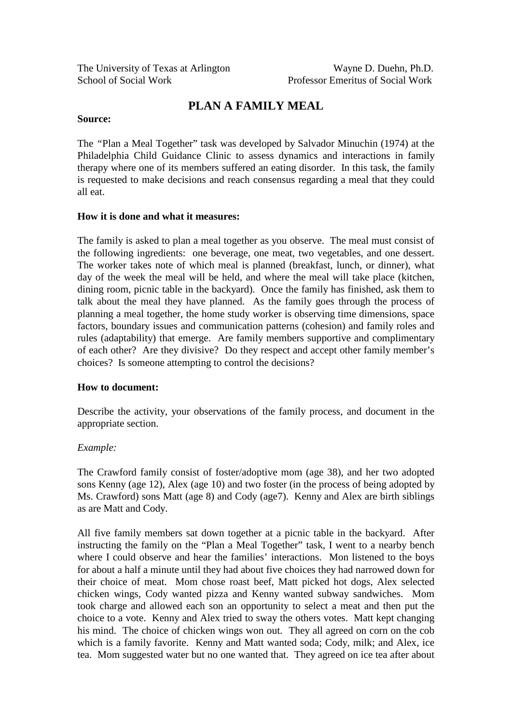# **PLAN A FAMILY MEAL**

#### **Source:**

The *"*Plan a Meal Together" task was developed by Salvador Minuchin (1974) at the Philadelphia Child Guidance Clinic to assess dynamics and interactions in family therapy where one of its members suffered an eating disorder. In this task, the family is requested to make decisions and reach consensus regarding a meal that they could all eat.

### **How it is done and what it measures:**

The family is asked to plan a meal together as you observe. The meal must consist of the following ingredients: one beverage, one meat, two vegetables, and one dessert. The worker takes note of which meal is planned (breakfast, lunch, or dinner), what day of the week the meal will be held, and where the meal will take place (kitchen, dining room, picnic table in the backyard). Once the family has finished, ask them to talk about the meal they have planned. As the family goes through the process of planning a meal together, the home study worker is observing time dimensions, space factors, boundary issues and communication patterns (cohesion) and family roles and rules (adaptability) that emerge. Are family members supportive and complimentary of each other? Are they divisive? Do they respect and accept other family member's choices? Is someone attempting to control the decisions?

### **How to document:**

Describe the activity, your observations of the family process, and document in the appropriate section.

### *Example:*

The Crawford family consist of foster/adoptive mom (age 38), and her two adopted sons Kenny (age 12), Alex (age 10) and two foster (in the process of being adopted by Ms. Crawford) sons Matt (age 8) and Cody (age7). Kenny and Alex are birth siblings as are Matt and Cody.

All five family members sat down together at a picnic table in the backyard. After instructing the family on the "Plan a Meal Together" task, I went to a nearby bench where I could observe and hear the families' interactions. Mon listened to the boys for about a half a minute until they had about five choices they had narrowed down for their choice of meat. Mom chose roast beef, Matt picked hot dogs, Alex selected chicken wings, Cody wanted pizza and Kenny wanted subway sandwiches. Mom took charge and allowed each son an opportunity to select a meat and then put the choice to a vote. Kenny and Alex tried to sway the others votes. Matt kept changing his mind. The choice of chicken wings won out. They all agreed on corn on the cob which is a family favorite. Kenny and Matt wanted soda; Cody, milk; and Alex, ice tea. Mom suggested water but no one wanted that. They agreed on ice tea after about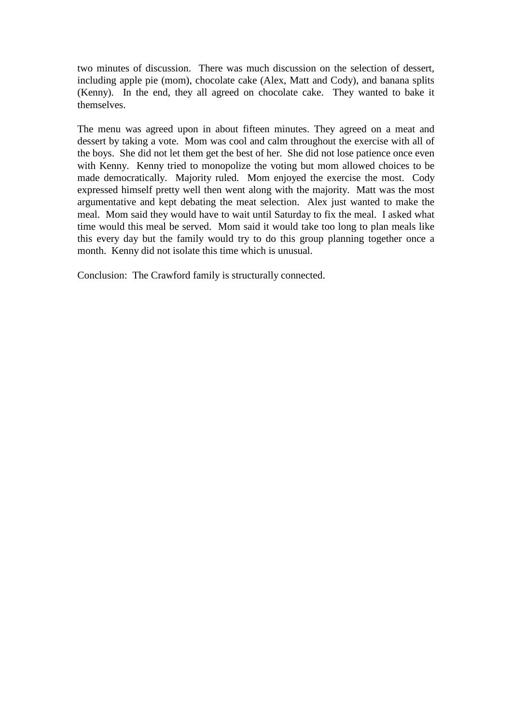two minutes of discussion. There was much discussion on the selection of dessert, including apple pie (mom), chocolate cake (Alex, Matt and Cody), and banana splits (Kenny). In the end, they all agreed on chocolate cake. They wanted to bake it themselves.

The menu was agreed upon in about fifteen minutes. They agreed on a meat and dessert by taking a vote. Mom was cool and calm throughout the exercise with all of the boys. She did not let them get the best of her. She did not lose patience once even with Kenny. Kenny tried to monopolize the voting but mom allowed choices to be made democratically. Majority ruled. Mom enjoyed the exercise the most. Cody expressed himself pretty well then went along with the majority. Matt was the most argumentative and kept debating the meat selection. Alex just wanted to make the meal. Mom said they would have to wait until Saturday to fix the meal. I asked what time would this meal be served. Mom said it would take too long to plan meals like this every day but the family would try to do this group planning together once a month. Kenny did not isolate this time which is unusual.

Conclusion: The Crawford family is structurally connected.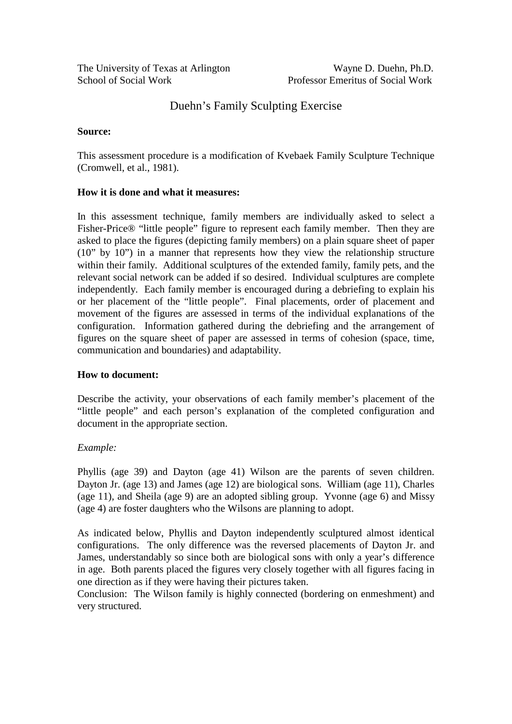# Duehn's Family Sculpting Exercise

#### **Source:**

This assessment procedure is a modification of Kvebaek Family Sculpture Technique (Cromwell, et al., 1981).

### **How it is done and what it measures:**

In this assessment technique, family members are individually asked to select a Fisher-Price® "little people" figure to represent each family member. Then they are asked to place the figures (depicting family members) on a plain square sheet of paper (10" by 10") in a manner that represents how they view the relationship structure within their family. Additional sculptures of the extended family, family pets, and the relevant social network can be added if so desired. Individual sculptures are complete independently. Each family member is encouraged during a debriefing to explain his or her placement of the "little people". Final placements, order of placement and movement of the figures are assessed in terms of the individual explanations of the configuration. Information gathered during the debriefing and the arrangement of figures on the square sheet of paper are assessed in terms of cohesion (space, time, communication and boundaries) and adaptability.

#### **How to document:**

Describe the activity, your observations of each family member's placement of the "little people" and each person's explanation of the completed configuration and document in the appropriate section.

### *Example:*

Phyllis (age 39) and Dayton (age 41) Wilson are the parents of seven children. Dayton Jr. (age 13) and James (age 12) are biological sons. William (age 11), Charles (age 11), and Sheila (age 9) are an adopted sibling group. Yvonne (age 6) and Missy (age 4) are foster daughters who the Wilsons are planning to adopt.

As indicated below, Phyllis and Dayton independently sculptured almost identical configurations. The only difference was the reversed placements of Dayton Jr. and James, understandably so since both are biological sons with only a year's difference in age. Both parents placed the figures very closely together with all figures facing in one direction as if they were having their pictures taken.

Conclusion: The Wilson family is highly connected (bordering on enmeshment) and very structured.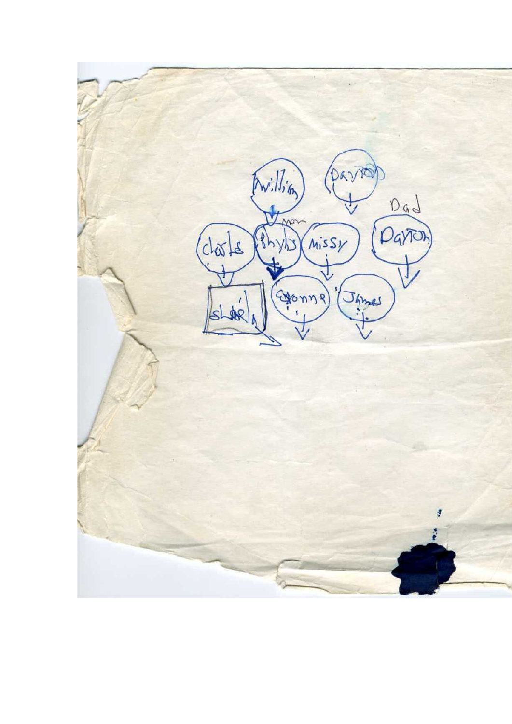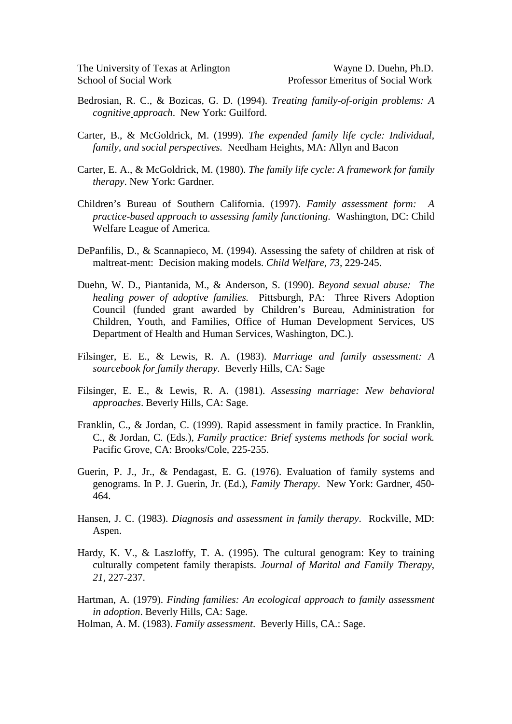- Bedrosian, R. C., & Bozicas, G. D. (1994). *Treating family-of-origin problems: A cognitive approach*. New York: Guilford.
- Carter, B., & McGoldrick, M. (1999). *The expended family life cycle: Individual, family, and social perspectives.* Needham Heights, MA: Allyn and Bacon
- Carter, E. A., & McGoldrick, M. (1980). *The family life cycle: A framework for family therapy*. New York: Gardner.
- Children's Bureau of Southern California. (1997). *Family assessment form: A practice-based approach to assessing family functioning*. Washington, DC: Child Welfare League of America.
- DePanfilis, D., & Scannapieco, M. (1994). Assessing the safety of children at risk of maltreat-ment: Decision making models. *Child Welfare*, *73*, 229-245.
- Duehn, W. D., Piantanida, M., & Anderson, S. (1990). *Beyond sexual abuse: The healing power of adoptive families.* Pittsburgh, PA: Three Rivers Adoption Council (funded grant awarded by Children's Bureau, Administration for Children, Youth, and Families, Office of Human Development Services, US Department of Health and Human Services, Washington, DC.).
- Filsinger, E. E., & Lewis, R. A. (1983). *Marriage and family assessment: A sourcebook for family therapy*. Beverly Hills, CA: Sage
- Filsinger, E. E., & Lewis, R. A. (1981). *Assessing marriage: New behavioral approaches*. Beverly Hills, CA: Sage.
- Franklin, C., & Jordan, C. (1999). Rapid assessment in family practice. In Franklin, C., & Jordan, C. (Eds.), *Family practice: Brief systems methods for social work.* Pacific Grove, CA: Brooks/Cole, 225-255.
- Guerin, P. J., Jr., & Pendagast, E. G. (1976). Evaluation of family systems and genograms. In P. J. Guerin, Jr. (Ed.), *Family Therapy*. New York: Gardner, 450- 464.
- Hansen, J. C. (1983). *Diagnosis and assessment in family therapy*. Rockville, MD: Aspen.
- Hardy, K. V., & Laszloffy, T. A. (1995). The cultural genogram: Key to training culturally competent family therapists. *Journal of Marital and Family Therapy*, *21*, 227-237.
- Hartman, A. (1979). *Finding families: An ecological approach to family assessment in adoption*. Beverly Hills, CA: Sage.
- Holman, A. M. (1983). *Family assessment*. Beverly Hills, CA.: Sage.